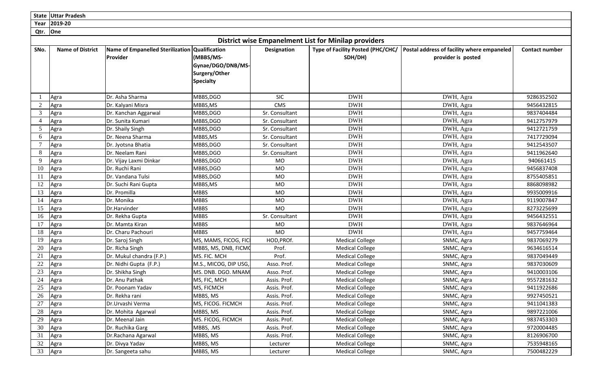|                | State Uttar Pradesh                                         |                                                     |                                                                                             |                    |                                              |                                                                  |                       |  |  |  |  |
|----------------|-------------------------------------------------------------|-----------------------------------------------------|---------------------------------------------------------------------------------------------|--------------------|----------------------------------------------|------------------------------------------------------------------|-----------------------|--|--|--|--|
| Year           | 2019-20                                                     |                                                     |                                                                                             |                    |                                              |                                                                  |                       |  |  |  |  |
| Qtr.           | One                                                         |                                                     |                                                                                             |                    |                                              |                                                                  |                       |  |  |  |  |
|                | <b>District wise Empanelment List for Minilap providers</b> |                                                     |                                                                                             |                    |                                              |                                                                  |                       |  |  |  |  |
| SNo.           | <b>Name of District</b>                                     | <b>Name of Empanelled Sterilization</b><br>Provider | <b>Qualification</b><br>(MBBS/MS-<br>Gynae/DGO/DNB/MS-<br>Surgery/Other<br><b>Specialty</b> | <b>Designation</b> | Type of Facility Posted (PHC/CHC/<br>SDH/DH) | Postal address of facility where empaneled<br>provider is posted | <b>Contact number</b> |  |  |  |  |
|                | Agra                                                        | Dr. Asha Sharma                                     | MBBS, DGO                                                                                   | <b>SIC</b>         | <b>DWH</b>                                   | DWH, Agra                                                        | 9286352502            |  |  |  |  |
| $\sqrt{2}$     | Agra                                                        | Dr. Kalyani Misra                                   | MBBS,MS                                                                                     | <b>CMS</b>         | <b>DWH</b>                                   | DWH, Agra                                                        | 9456432815            |  |  |  |  |
| $\mathfrak{Z}$ | Agra                                                        | Dr. Kanchan Aggarwal                                | MBBS, DGO                                                                                   | Sr. Consultant     | <b>DWH</b>                                   | DWH, Agra                                                        | 9837404484            |  |  |  |  |
| 4              | Agra                                                        | Dr. Sunita Kumari                                   | <b>MBBS,DGO</b>                                                                             | Sr. Consultant     | <b>DWH</b>                                   | DWH, Agra                                                        | 9412757979            |  |  |  |  |
| $\mathfrak{S}$ | Agra                                                        | Dr. Shaily Singh                                    | MBBS,DGO                                                                                    | Sr. Consultant     | <b>DWH</b>                                   | DWH, Agra                                                        | 9412721759            |  |  |  |  |
| 6              | Agra                                                        | Dr. Neena Sharma                                    | MBBS,MS                                                                                     | Sr. Consultant     | <b>DWH</b>                                   | DWH, Agra                                                        | 7417729094            |  |  |  |  |
| 7              | Agra                                                        | Dr. Jyotsna Bhatia                                  | MBBS, DGO                                                                                   | Sr. Consultant     | <b>DWH</b>                                   | DWH, Agra                                                        | 9412543507            |  |  |  |  |
| 8              | Agra                                                        | Dr. Neelam Rani                                     | MBBS, DGO                                                                                   | Sr. Consultant     | <b>DWH</b>                                   | DWH, Agra                                                        | 9411962640            |  |  |  |  |
| 9              | Agra                                                        | Dr. Vijay Laxmi Dinkar                              | MBBS, DGO                                                                                   | <b>MO</b>          | <b>DWH</b>                                   | DWH, Agra                                                        | 940661415             |  |  |  |  |
| 10             | Agra                                                        | Dr. Ruchi Rani                                      | MBBS,DGO                                                                                    | <b>MO</b>          | <b>DWH</b>                                   | DWH, Agra                                                        | 9456837408            |  |  |  |  |
| 11             | Agra                                                        | Dr. Vandana Tulsi                                   | MBBS,DGO                                                                                    | <b>MO</b>          | <b>DWH</b>                                   | DWH, Agra                                                        | 8755405851            |  |  |  |  |
| 12             | Agra                                                        | Dr. Suchi Rani Gupta                                | MBBS,MS                                                                                     | <b>MO</b>          | <b>DWH</b>                                   | DWH, Agra                                                        | 8868098982            |  |  |  |  |
| 13             | Agra                                                        | Dr. Promilla                                        | <b>MBBS</b>                                                                                 | <b>MO</b>          | <b>DWH</b>                                   | DWH, Agra                                                        | 9935009916            |  |  |  |  |
| 14             | Agra                                                        | Dr. Monika                                          | <b>MBBS</b>                                                                                 | MO                 | <b>DWH</b>                                   | DWH, Agra                                                        | 9119007847            |  |  |  |  |
| 15             | Agra                                                        | Dr.Harvinder                                        | <b>MBBS</b>                                                                                 | <b>MO</b>          | <b>DWH</b>                                   | DWH, Agra                                                        | 8273225699            |  |  |  |  |
| 16             | Agra                                                        | Dr. Rekha Gupta                                     | <b>MBBS</b>                                                                                 | Sr. Consultant     | <b>DWH</b>                                   | DWH, Agra                                                        | 9456432551            |  |  |  |  |
| 17             | Agra                                                        | Dr. Mamta Kiran                                     | <b>MBBS</b>                                                                                 | MO                 | <b>DWH</b>                                   | DWH, Agra                                                        | 9837646964            |  |  |  |  |
| 18             | Agra                                                        | Dr. Charu Pachouri                                  | <b>MBBS</b>                                                                                 | <b>MO</b>          | <b>DWH</b>                                   | DWH, Agra                                                        | 9457759464            |  |  |  |  |
| 19             | Agra                                                        | Dr. Saroj Singh                                     | MS, MAMS, FICOG, FIC                                                                        | HOD, PROf.         | <b>Medical College</b>                       | SNMC, Agra                                                       | 9837069279            |  |  |  |  |
| 20             | Agra                                                        | Dr. Richa Singh                                     | MBBS, MS, DNB, FICMO                                                                        | Prof.              | <b>Medical College</b>                       | SNMC, Agra                                                       | 9634616514            |  |  |  |  |
| 21             | Agra                                                        | Dr. Mukul chandra (F.P.)                            | MS. FIC. MCH                                                                                | Prof.              | <b>Medical College</b>                       | SNMC, Agra                                                       | 9837049449            |  |  |  |  |
| 22             | Agra                                                        | Dr. Nidhi Gupta (F.P.)                              | M.S., MICOG, DIP USG,                                                                       | Asso. Prof.        | <b>Medical College</b>                       | SNMC, Agra                                                       | 9837030609            |  |  |  |  |
| 23             | Agra                                                        | Dr. Shikha Singh                                    | MS. DNB. DGO. MNAM                                                                          | Asso. Prof.        | <b>Medical College</b>                       | SNMC, Agra                                                       | 9410003106            |  |  |  |  |
| 24             | Agra                                                        | Dr. Anu Pathak                                      | MS, FIC, MCH                                                                                | Assis. Prof.       | <b>Medical College</b>                       | SNMC, Agra                                                       | 9557281632            |  |  |  |  |
| 25             | Agra                                                        | Dr. Poonam Yadav                                    | MS, FICMCH                                                                                  | Assis. Prof.       | <b>Medical College</b>                       | SNMC, Agra                                                       | 9411922686            |  |  |  |  |
| 26             | Agra                                                        | Dr. Rekha rani                                      | MBBS, MS                                                                                    | Assis. Prof.       | <b>Medical College</b>                       | SNMC, Agra                                                       | 9927450521            |  |  |  |  |
| 27             | Agra                                                        | Dr.Urvashi Verma                                    | MS, FICOG. FICMCH                                                                           | Assis. Prof.       | <b>Medical College</b>                       | SNMC, Agra                                                       | 9411041383            |  |  |  |  |
| 28             | Agra                                                        | Dr. Mohita Agarwal                                  | MBBS, MS                                                                                    | Assis. Prof.       | <b>Medical College</b>                       | SNMC, Agra                                                       | 9897221006            |  |  |  |  |
| 29             | Agra                                                        | Dr. Meenal Jain                                     | MS. FICOG, FICMCH                                                                           | Assis. Prof.       | <b>Medical College</b>                       | SNMC, Agra                                                       | 9837453303            |  |  |  |  |
| 30             | Agra                                                        | Dr. Ruchika Garg                                    | MBBS, .MS                                                                                   | Assis. Prof.       | <b>Medical College</b>                       | SNMC, Agra                                                       | 9720004485            |  |  |  |  |
| 31             | Agra                                                        | Dr.Rachana Agarwal                                  | MBBS, MS                                                                                    | Assis. Prof.       | <b>Medical College</b>                       | SNMC, Agra                                                       | 8126906700            |  |  |  |  |
| 32             | Agra                                                        | Dr. Divya Yadav                                     | MBBS, MS                                                                                    | Lecturer           | <b>Medical College</b>                       | SNMC, Agra                                                       | 7535948165            |  |  |  |  |
| 33             | Agra                                                        | Dr. Sangeeta sahu                                   | MBBS, MS                                                                                    | Lecturer           | <b>Medical College</b>                       | SNMC, Agra                                                       | 7500482229            |  |  |  |  |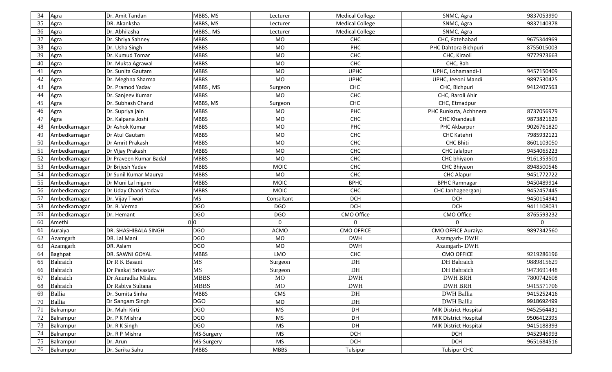| 34<br>Agra          | Dr. Amit Tandan        | MBBS, MS        | Lecturer    | <b>Medical College</b> | SNMC, Agra            | 9837053990 |
|---------------------|------------------------|-----------------|-------------|------------------------|-----------------------|------------|
| 35<br>Agra          | DR. Akanksha           | <b>MBBS, MS</b> | Lecturer    | <b>Medical College</b> | SNMC, Agra            | 9837140378 |
| 36<br>Agra          | Dr. Abhilasha          | MBBS., MS       | Lecturer    | <b>Medical College</b> | SNMC, Agra            |            |
| 37<br>Agra          | Dr. Shriya Sahney      | <b>MBBS</b>     | <b>MO</b>   | <b>CHC</b>             | CHC, Fatehabad        | 9675344969 |
| 38<br>Agra          | Dr. Usha Singh         | <b>MBBS</b>     | <b>MO</b>   | PHC                    | PHC Dahtora Bichpuri  | 8755015003 |
| 39<br>Agra          | Dr. Kumud Tomar        | <b>MBBS</b>     | <b>MO</b>   | <b>CHC</b>             | CHC, Kiraoli          | 9772973663 |
| 40<br>Agra          | Dr. Mukta Agrawal      | <b>MBBS</b>     | <b>MO</b>   | CHC                    | CHC, Bah              |            |
| 41<br>Agra          | Dr. Sunita Gautam      | <b>MBBS</b>     | <b>MO</b>   | <b>UPHC</b>            | UPHC, Lohamandi-1     | 9457150409 |
| 42<br>Agra          | Dr. Meghna Sharma      | <b>MBBS</b>     | <b>MO</b>   | <b>UPHC</b>            | UPHC, Jeeoni Mandi    | 9897530425 |
| 43<br>Agra          | Dr. Pramod Yadav       | MBBS, MS        | Surgeon     | CHC                    | CHC, Bichpuri         | 9412407563 |
| 44<br>Agra          | Dr. Sanjeev Kumar      | <b>MBBS</b>     | <b>MO</b>   | <b>CHC</b>             | CHC, Baroli Ahir      |            |
| 45<br>Agra          | Dr. Subhash Chand      | MBBS, MS        | Surgeon     | CHC                    | CHC, Etmadpur         |            |
| 46<br>Agra          | Dr. Supriya jain       | <b>MBBS</b>     | <b>MO</b>   | PHC                    | PHC Runkuta, Achhnera | 8737056979 |
| 47<br>Agra          | Dr. Kalpana Joshi      | <b>MBBS</b>     | MO          | CHC                    | <b>CHC Khandauli</b>  | 9873821629 |
| 48<br>Ambedkarnagar | Dr Ashok Kumar         | <b>MBBS</b>     | <b>MO</b>   | PHC                    | PHC Akbarpur          | 9026761820 |
| 49<br>Ambedkarnagar | Dr Atul Gautam         | <b>MBBS</b>     | <b>MO</b>   | CHC                    | <b>CHC Katehri</b>    | 7985932121 |
| 50<br>Ambedkarnagar | Dr Amrit Prakash       | <b>MBBS</b>     | <b>MO</b>   | <b>CHC</b>             | <b>CHC Bhiti</b>      | 8601103050 |
| 51<br>Ambedkarnagar | Dr Vijay Prakash       | <b>MBBS</b>     | <b>MO</b>   | CHC                    | CHC Jalalpur          | 9454065223 |
| 52<br>Ambedkarnagar | Dr Praveen Kumar Badal | <b>MBBS</b>     | <b>MO</b>   | <b>CHC</b>             | CHC bhiyaon           | 9161353501 |
| 53<br>Ambedkarnagar | Dr Brijesh Yadav       | <b>MBBS</b>     | <b>MOIC</b> | <b>CHC</b>             | CHC Bhiyaon           | 8948500546 |
| 54<br>Ambedkarnagar | Dr Sunil Kumar Maurya  | <b>MBBS</b>     | <b>MO</b>   | CHC                    | <b>CHC Alapur</b>     | 9451772722 |
| 55<br>Ambedkarnagar | Dr Muni Lal nigam      | <b>MBBS</b>     | <b>MOIC</b> | <b>BPHC</b>            | <b>BPHC Ramnagar</b>  | 9450489914 |
| 56<br>Ambedkarnagar | Dr Uday Chand Yadav    | <b>MBBS</b>     | <b>MOIC</b> | CHC                    | CHC Janhageerganj     | 9452457445 |
| 57<br>Ambedkarnagar | Dr. Vijay Tiwari       | <b>MS</b>       | Consaltant  | <b>DCH</b>             | <b>DCH</b>            | 9450154941 |
| 58<br>Ambedkarnagar | Dr. B. Verma           | <b>DGO</b>      | <b>DGO</b>  | <b>DCH</b>             | <b>DCH</b>            | 9411108031 |
| 59<br>Ambedkarnagar | Dr. Hemant             | <b>DGO</b>      | <b>DGO</b>  | CMO Office             | CMO Office            | 8765593232 |
| 60<br>Amethi        |                        | 0 0             | $\Omega$    | $\Omega$               | 0                     | $\Omega$   |
| 61<br>Auraiya       | DR. SHASHIBALA SINGH   | <b>DGO</b>      | <b>ACMO</b> | <b>CMO OFFICE</b>      | CMO OFFICE Auraiya    | 9897342560 |
| 62<br>Azamgarh      | DR. Lal Mani           | <b>DGO</b>      | <b>MO</b>   | <b>DWH</b>             | Azamgarh-DWH          |            |
| 63<br>Azamgarh      | DR. Aslam              | <b>DGO</b>      | <b>MO</b>   | <b>DWH</b>             | Azamgarh-DWH          |            |
| -64<br>Baghpat      | DR. SAWNI GOYAL        | <b>MBBS</b>     | LMO         | CHC                    | <b>CMO OFFICE</b>     | 9219286196 |
| Bahraich<br>65      | Dr R K Basant          | MS              | Surgeon     | DH                     | DH Bahraich           | 9889815629 |
| Bahraich<br>66      | Dr Pankaj Srivastav    | MS              | Surgeon     | DH                     | DH Bahraich           | 9473691448 |
| Bahraich<br>67      | Dr Anuradha Mishra     | <b>MBBS</b>     | MO          | <b>DWH</b>             | <b>DWH BRH</b>        | 7800742608 |
| Bahraich<br>68      | Dr Rabiya Sultana      | <b>MBBS</b>     | <b>MO</b>   | <b>DWH</b>             | <b>DWH BRH</b>        | 9415571706 |
| Ballia<br>69        | Dr. Sumita Sinha       | <b>MBBS</b>     | CMS         | DH                     | <b>DWH</b> Ballia     | 9415252416 |
| 70<br>Ballia        | Dr Sangam Singh        | <b>DGO</b>      | MO          | DH                     | <b>DWH</b> Ballia     | 9918692499 |
| 71<br>Balrampur     | Dr. Mahi Kirti         | <b>DGO</b>      | <b>MS</b>   | DH                     | MIK District Hospital | 9452564431 |
| 72<br>Balrampur     | Dr. P K Mishra         | <b>DGO</b>      | <b>MS</b>   | DH                     | MIK District Hospital | 9506412395 |
| 73<br>Balrampur     | Dr. R K Singh          | <b>DGO</b>      | <b>MS</b>   | DH                     | MIK District Hospital | 9415188393 |
| 74<br>Balrampur     | Dr. R P Mishra         | MS-Surgery      | MS          | <b>DCH</b>             | <b>DCH</b>            | 9452946993 |
| 75<br>Balrampur     | Dr. Arun               | MS-Surgery      | <b>MS</b>   | <b>DCH</b>             | <b>DCH</b>            | 9651684516 |
| 76<br>Balrampur     | Dr. Sarika Sahu        | <b>MBBS</b>     | <b>MBBS</b> | Tulsipur               | <b>Tulsipur CHC</b>   |            |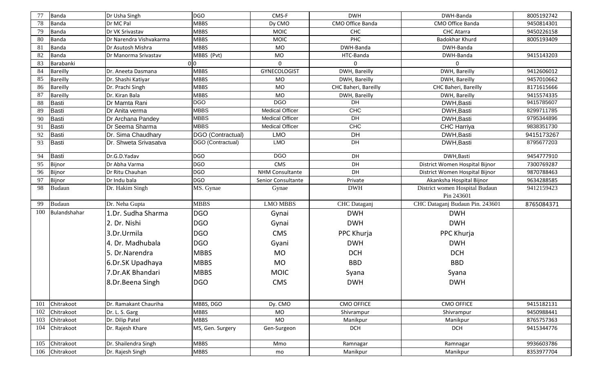| 77         | Banda                    | Dr Usha Singh                            | <b>DGO</b>                 | CMS-F                  | <b>DWH</b>           | DWH-Banda                                    | 8005192742               |
|------------|--------------------------|------------------------------------------|----------------------------|------------------------|----------------------|----------------------------------------------|--------------------------|
| 78         | Banda                    | Dr MC Pal                                | <b>MBBS</b>                | Dy CMO                 | CMO Office Banda     | CMO Office Banda                             | 9450814301               |
| 79         | Banda                    | Dr VK Srivastav                          | <b>MBBS</b>                | <b>MOIC</b>            | CHC                  | <b>CHC Atarra</b>                            | 9450226158               |
| 80         | Banda                    | Dr Narendra Vishvakarma                  | <b>MBBS</b>                | <b>MOIC</b>            | <b>PHC</b>           | Badokhar Khurd                               | 8005193409               |
| 81         | Banda                    | Dr Asutosh Mishra                        | <b>MBBS</b>                | MO                     | DWH-Banda            | DWH-Banda                                    |                          |
| 82         | Banda                    | Dr Manorma Srivastav                     | MBBS (Pvt)                 | MO                     | HTC-Banda            | DWH-Banda                                    | 9415143203               |
| 83         | Barabanki                |                                          | 0 <sub>0</sub>             | $\mathbf 0$            | 0                    | $\mathbf 0$                                  |                          |
| 84         | <b>Bareilly</b>          | Dr. Aneeta Dasmana                       | <b>MBBS</b>                | <b>GYNECOLOGIST</b>    | DWH, Bareilly        | DWH, Bareilly                                | 9412606012               |
| 85         | <b>Bareilly</b>          | Dr. Shashi Katiyar                       | <b>MBBS</b>                | <b>MO</b>              | DWH, Bareilly        | DWH, Bareilly                                | 9457010662               |
| 86         | <b>Bareilly</b>          | Dr. Prachi Singh                         | <b>MBBS</b>                | MO                     | CHC Baheri, Bareilly | CHC Baheri, Bareilly                         | 8171615666               |
| 87         | <b>Bareilly</b>          | Dr. Kiran Bala                           | <b>MBBS</b>                | MO                     | DWH, Bareilly        | DWH, Bareilly                                | 9415574335               |
| 88         | Basti                    | Dr Mamta Rani                            | <b>DGO</b>                 | <b>DGO</b>             | DH                   | DWH, Basti                                   | 9415785607               |
| 89         | Basti                    | Dr Anita verma                           | <b>MBBS</b>                | <b>Medical Officer</b> | CHC                  | DWH, Basti                                   | 8299711785               |
| 90         | Basti                    | Dr Archana Pandey                        | <b>MBBS</b>                | <b>Medical Officer</b> | DH                   | DWH, Basti                                   | 9795344896               |
| 91         | Basti                    | Dr Seema Sharma                          | <b>MBBS</b>                | <b>Medical Officer</b> | CHC                  | <b>CHC Harriya</b>                           | 9838351730               |
| 92         | Basti                    | Dr. Sima Chaudhary                       | DGO (Contractual)          | <b>LMO</b>             | DH                   | DWH, Basti                                   | 9415173267               |
| 93         | Basti                    | Dr. Shweta Srivasatva                    | DGO (Contractual)          | <b>LMO</b>             | DH                   | DWH, Basti                                   | 8795677203               |
| 94         | Basti                    | Dr.G.D.Yadav                             | <b>DGO</b>                 | <b>DGO</b>             | DH                   | DWH, Basti                                   | 9454777910               |
| 95         | Bijnor                   | Dr Abha Varma                            | <b>DGO</b>                 | CMS                    | DH                   | District Women Hospital Bijnor               | 7300769287               |
| 96         | Bijnor                   | Dr Ritu Chauhan                          | <b>DGO</b>                 | <b>NHM Consultante</b> | DH                   | District Women Hospital Bijnor               | 9870788463               |
| 97         | Bijnor                   | Dr Indu bala                             | <b>DGO</b>                 | Senior Consultante     | Private              | Akanksha Hospital Bijnor                     | 9634288585               |
| 98         | <b>Budaun</b>            | Dr. Hakim Singh                          | MS. Gynae                  | Gynae                  | <b>DWH</b>           | District women Hospital Budaun<br>Pin 243601 | 9412159423               |
| 99         | <b>Budaun</b>            | Dr. Neha Gupta                           | <b>MBBS</b>                | <b>LMO MBBS</b>        | CHC Dataganj         | CHC Dataganj Budaun Pin. 243601              | 8765084371               |
| 100        | Bulandshahar             | 1.Dr. Sudha Sharma                       | <b>DGO</b>                 | Gynai                  | <b>DWH</b>           | <b>DWH</b>                                   |                          |
|            |                          | 2. Dr. Nishi                             | <b>DGO</b>                 | Gynai                  | <b>DWH</b>           | <b>DWH</b>                                   |                          |
|            |                          | 3.Dr.Urmila                              | <b>DGO</b>                 | <b>CMS</b>             | PPC Khurja           | PPC Khurja                                   |                          |
|            |                          | 4. Dr. Madhubala                         | <b>DGO</b>                 | Gyani                  |                      | <b>DWH</b>                                   |                          |
|            |                          |                                          |                            |                        | <b>DWH</b>           |                                              |                          |
|            |                          | 5. Dr. Narendra                          | <b>MBBS</b>                | <b>MO</b>              | <b>DCH</b>           | <b>DCH</b>                                   |                          |
|            |                          | 6.Dr.SK Upadhaya                         | <b>MBBS</b>                | <b>MO</b>              | <b>BBD</b>           | <b>BBD</b>                                   |                          |
|            |                          | 7.Dr.AK Bhandari                         | <b>MBBS</b>                | <b>MOIC</b>            |                      |                                              |                          |
|            |                          |                                          |                            |                        | Syana                | Syana                                        |                          |
|            |                          | 8.Dr.Beena Singh                         | <b>DGO</b>                 | <b>CMS</b>             | <b>DWH</b>           | <b>DWH</b>                                   |                          |
| 101        | Chitrakoot               | Dr. Ramakant Chauriha                    | MBBS, DGO                  | Dy. CMO                | <b>CMO OFFICE</b>    | <b>CMO OFFICE</b>                            | 9415182131               |
| 102        | Chitrakoot               | Dr. L. S. Garg                           | <b>MBBS</b>                | MO                     | Shivrampur           | Shivrampur                                   | 9450988441               |
| 103        | Chitrakoot               | Dr. Dilip Patel                          | <b>MBBS</b>                | MO                     | Manikpur             | Manikpur                                     | 8765757363               |
| 104        | Chitrakoot               | Dr. Rajesh Khare                         | MS, Gen. Surgery           | Gen-Surgeon            | <b>DCH</b>           | <b>DCH</b>                                   | 9415344776               |
|            |                          |                                          |                            |                        |                      |                                              |                          |
| 105<br>106 | Chitrakoot<br>Chitrakoot | Dr. Shailendra Singh<br>Dr. Rajesh Singh | <b>MBBS</b><br><b>MBBS</b> | Mmo<br>mo              | Ramnagar<br>Manikpur | Ramnagar<br>Manikpur                         | 9936603786<br>8353977704 |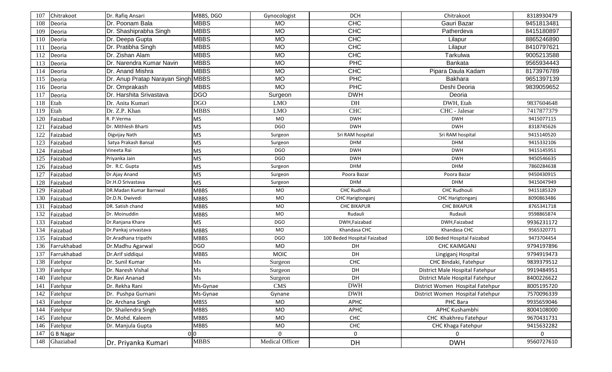| 107             | Chitrakoot  | Dr. Rafiq Ansari                   | MBBS, DGO   | Gynocologist    | <b>DCH</b>                  | Chitrakoot                       | 8318930479 |
|-----------------|-------------|------------------------------------|-------------|-----------------|-----------------------------|----------------------------------|------------|
| 108             | Deoria      | Dr. Poonam Bala                    | <b>MBBS</b> | <b>MO</b>       | <b>CHC</b>                  | Gauri Bazar                      | 9451813481 |
| 109             | Deoria      | Dr. Shashiprabha Singh             | <b>MBBS</b> | <b>MO</b>       | <b>CHC</b>                  | Patherdeva                       | 8415180897 |
| 110             | Deoria      | Dr. Deepa Gupta                    | <b>MBBS</b> | <b>MO</b>       | <b>CHC</b>                  | Lilapur                          | 8865246890 |
| 111             | Deoria      | Dr. Pratibha Singh                 | <b>MBBS</b> | <b>MO</b>       | <b>CHC</b>                  | Lilapur                          | 8410797621 |
| 112             | Deoria      | Dr. Zishan Alam                    | <b>MBBS</b> | <b>MO</b>       | <b>CHC</b>                  | Tarkulwa                         | 9005213588 |
| 113             | Deoria      | Dr. Narendra Kumar Navin           | <b>MBBS</b> | <b>MO</b>       | <b>PHC</b>                  | Bankata                          | 9565934443 |
| 114             | Deoria      | Dr. Anand Mishra                   | <b>MBBS</b> | <b>MO</b>       | <b>CHC</b>                  | Pipara Daula Kadam               | 8173976789 |
| 115             | Deoria      | Dr. Anup Pratap Narayan Singh MBBS |             | <b>MO</b>       | <b>PHC</b>                  | <b>Bakhara</b>                   | 9651397139 |
| 116             | Deoria      | Dr. Omprakash                      | <b>MBBS</b> | <b>MO</b>       | <b>PHC</b>                  | Deshi Deoria                     | 9839059652 |
| 117             | Deoria      | Dr. Harshita Srivastava            | <b>DGO</b>  | Surgeon         | <b>DWH</b>                  | Deoria                           |            |
| 118             | Etah        | Dr. Anita Kumari                   | <b>DGO</b>  | <b>LMO</b>      | DH                          | DWH, Etah                        | 9837604648 |
| 119             | Etah        | Dr. Z.P. Khan                      | <b>MBBS</b> | <b>LMO</b>      | <b>CHC</b>                  | CHC - Jalesar                    | 7417877379 |
| 120             | Faizabad    | R. P. Verma                        | <b>MS</b>   | MO              | <b>DWH</b>                  | <b>DWH</b>                       | 9415077115 |
| 12 <sup>2</sup> | Faizabad    | Dr. Mithlesh Bharti                | <b>MS</b>   | <b>DGO</b>      | <b>DWH</b>                  | <b>DWH</b>                       | 8318745626 |
| 122             | Faizabad    | Digvijay Nath                      | <b>MS</b>   | Surgeon         | Sri RAM hospital            | Sri RAM hospital                 | 9415140520 |
| 123             | Faizabad    | Satya Prakash Bansal               | <b>MS</b>   | Surgeon         | <b>DHM</b>                  | <b>DHM</b>                       | 9415332106 |
| 124             | Faizabad    | Vineeta Rai                        | <b>MS</b>   | <b>DGO</b>      | <b>DWH</b>                  | <b>DWH</b>                       | 9415145951 |
| 125             | Faizabad    | Priyanka Jain                      | <b>MS</b>   | <b>DGO</b>      | <b>DWH</b>                  | <b>DWH</b>                       | 9450546635 |
| 126             | Faizabad    | Dr. R.C. Gupta                     | <b>MS</b>   | Surgeon         | <b>DHM</b>                  | <b>DHM</b>                       | 7860284638 |
| 127             | Faizabad    | Dr.Ajay Anand                      | <b>MS</b>   | Surgeon         | Poora Bazar                 | Poora Bazar                      | 9450430915 |
| 128             | Faizabad    | Dr.H.O Srivastava                  | <b>MS</b>   | Surgeon         | <b>DHM</b>                  | <b>DHM</b>                       | 9415047949 |
| 129             | Faizabad    | DR.Madan Kumar Barnwal             | <b>MBBS</b> | <b>MO</b>       | <b>CHC Rudhouli</b>         | <b>CHC Rudhouli</b>              | 9415185329 |
| 130             | Faizabad    | Dr.D.N. Dwivedi                    | <b>MBBS</b> | MO              | CHC Harigtonganj            | CHC Harigtonganj                 | 8090863486 |
| 131             | Faizabad    | DR. Satish chand                   | <b>MBBS</b> | MO              | <b>CHC BIKAPUR</b>          | <b>CHC BIKAPUR</b>               | 8765341718 |
| 132             | Faizabad    | Dr. Moinuddin                      | <b>MBBS</b> | <b>MO</b>       | Rudauli                     | Rudauli                          | 9598865874 |
| 133             | Faizabad    | Dr.Ranjana Khare                   | <b>MS</b>   | <b>DGO</b>      | DWH, Faizabad               | DWH, Faizabad                    | 9936231172 |
| 134             | Faizabad    | Dr.Pankaj srivastava               | <b>MBBS</b> | MO              | Khandasa CHC                | Khandasa CHC                     | 9565320771 |
| 135             | Faizabad    | Dr.Aradhana tripathi               | <b>MBBS</b> | <b>DGO</b>      | 100 Beded Hospital Faizabad | 100 Beded Hospital Faizabad      | 9473704454 |
| 136             | Farrukhabad | Dr.Madhu Agarwal                   | <b>DGO</b>  | MO              | DH                          | <b>CHC KAIMGANJ</b>              | 9794197896 |
| 137             | Farrukhabad | Dr.Arif siddiqui                   | <b>MBBS</b> | <b>MOIC</b>     | DH                          | Lingiganj Hospital               | 9794919473 |
| 138             | Fatehpur    | Dr. Sunil Kumar                    | Ms          | Surgeon         | CHC                         | CHC Bindaki, Fatehpur            | 9839379512 |
| 139             | Fatehpur    | Dr. Naresh Vishal                  | Ms          | Surgeon         | DH                          | District Male Hospital Fatehpur  | 9919484951 |
| 140             | Fatehpur    | Dr.Ravi Ananad                     | Ms          | Surgeon         | DH                          | District Male Hospital Fatehpur  | 8400226622 |
| 141             | Fatehpur    | Dr. Rekha Rani                     | Ms-Gynae    | CMS             | <b>DWH</b>                  | District Women Hospital Fatehpur | 8005195720 |
| 142             | Fatehpur    | Dr. Pushpa Gurnani                 | Ms-Gynae    | Gynane          | <b>DWH</b>                  | District Women Hospital Fatehpur | 7570096339 |
| 143             | Fatehpur    | Dr. Archana Singh                  | <b>MBSS</b> | MO              | APHC                        | PHC Bara                         | 9935659046 |
| 144             | Fatehpur    | Dr. Shailendra Singh               | <b>MBBS</b> | MO              | APHC                        | APHC Kushambhi                   | 8004108000 |
| 145             | Fatehpur    | Dr. Mohd. Kaleem                   | <b>MBBS</b> | MO              | CHC                         | CHC Khakhreu Fatehpur            | 9670431731 |
| 146             | Fatehpur    | Dr. Manjula Gupta                  | <b>MBBS</b> | <b>MO</b>       | ${\sf CHC}$                 | CHC Khaga Fatehpur               | 9415632282 |
| 147             | G B Nagar   |                                    | 0 0         | $\mathbf 0$     | $\mathbf 0$                 | 0                                | 0          |
| 148             | Ghaziabad   | Dr. Priyanka Kumari                | <b>MBBS</b> | Medical Officer | DH                          | <b>DWH</b>                       | 9560727610 |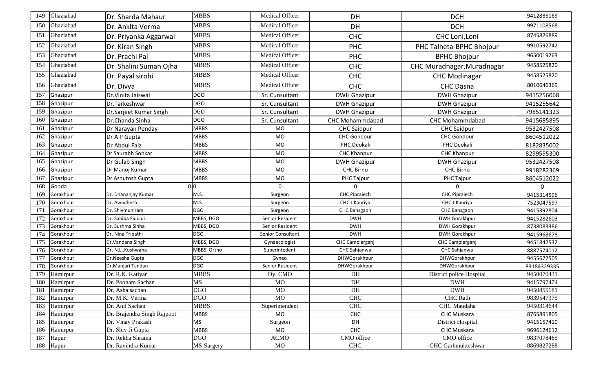| 149        | Ghaziabad      | Dr. Sharda Mahaur                      | <b>MBBS</b>              | Medical Officer   | DH                       | <b>DCH</b>                       | 9412886169               |
|------------|----------------|----------------------------------------|--------------------------|-------------------|--------------------------|----------------------------------|--------------------------|
| 150        | Ghaziabad      | Dr. Ankita Verma                       | <b>MBBS</b>              | Medical Officer   | DH                       | <b>DCH</b>                       | 9971108568               |
| 151        | Ghaziabad      | Dr. Priyanka Aggarwal                  | <b>MBBS</b>              | Medical Officer   | <b>CHC</b>               | CHC Loni, Loni                   | 8745826889               |
| 152        | Ghaziabad      | Dr. Kiran Singh                        | <b>MBBS</b>              | Medical Officer   | <b>PHC</b>               | PHC Talheta-BPHC Bhojpur         | 9910592742               |
| 153        | Ghaziabad      | Dr. Prachi Pal                         | <b>MBBS</b>              | Medical Officer   | <b>PHC</b>               | <b>BPHC Bhojpur</b>              | 9650019263               |
| 154        | Ghaziabad      | Dr. Shalini Suman Ojha                 | <b>MBBS</b>              | Medical Officer   | <b>CHC</b>               | CHC Muradnagar, Muradnagar       | 9458525820               |
| 155        | Ghaziabad      | Dr. Payal sirohi                       | <b>MBBS</b>              | Medical Officer   | <b>CHC</b>               | <b>CHC Modinagar</b>             | 9458525820               |
| 156        | Ghaziabad      | Dr. Divya                              | <b>MBBS</b>              | Medical Officer   | <b>CHC</b>               | <b>CHC Dasna</b>                 | 8010646369               |
| 157        | Ghazipur       | Dr. Vinita Jaiswal                     | <b>DGO</b>               | Sr. Cunsultant    | <b>DWH Ghazipur</b>      | <b>DWH Ghazipur</b>              | 9415256068               |
| 158        | Ghazipur       | Dr.Tarkeshwar                          | <b>DGO</b>               | Sr. Cunsultant    | <b>DWH Ghazipur</b>      | <b>DWH Ghazipur</b>              | 9415255642               |
| 159        | Ghazipur       | Dr.Sarjeet Kumar Singh                 | <b>DGO</b>               | Sr. Cunsultant    | <b>DWH Ghazipur</b>      | <b>DWH Ghazipur</b>              | 7985141323               |
| 160        | Ghazipur       | Dr.Chanda Sinha                        | <b>DGO</b>               | Sr. Cunsultant    | CHC Mohammdabad          | CHC Mohammdabad                  | 9415685895               |
| 161        | Ghazipur       | Dr Narayan Penday                      | <b>MBBS</b>              | MO                | <b>CHC Saidpur</b>       | <b>CHC Saidpur</b>               | 9532427508               |
| 162        | Ghazipur       | Dr A P Gupta                           | <b>MBBS</b>              | MO                | <b>CHC Gondour</b>       | <b>CHC Gondour</b>               | 8604512022               |
| 163        | Ghazipur       | Dr Abdul Faiz                          | <b>MBBS</b>              | MO                | PHC Deokali              | PHC Deokali                      | 8182835002               |
| 164        | Ghazipur       | Dr Saurabh Sonkar                      | <b>MBBS</b>              | MO                | <b>CHC Khanpur</b>       | <b>CHC Khanpur</b>               | 8299595300               |
| 165        | Ghazipur       | Dr Gulab Singh                         | <b>MBBS</b>              | MO                | <b>DWH Ghazipur</b>      | <b>DWH Ghazipur</b>              | 9532427508               |
| 166        | Ghazipur       | Dr Manoj Kumar                         | <b>MBBS</b>              | MO                | <b>CHC Birno</b>         | <b>CHC Birno</b>                 | 9918282369               |
| 167        | Ghazipur       | Dr Ashutosh Gupta                      | <b>MBBS</b>              | MO                | PHC Tajpur               | PHC Tajpur                       | 8604512022               |
| 168        | Gonda          |                                        | 0 0                      | $\Omega$          | $\Omega$                 | $\mathbf{0}$                     | $\Omega$                 |
| 169        | Gorakhpur      | Dr. Dhananjay Kumar                    | M.S.                     | Surgeon           | <b>CHC Pipraiech</b>     | <b>CHC Pipraiech</b>             | 9415314596               |
| 170        | Gorakhpur      | Dr. Awadhesh                           | M.S.                     | Surgeon           | CHC J.Kauriya            | CHC J.Kauriya                    | 7523047597               |
|            |                |                                        |                          |                   |                          |                                  |                          |
| 171        | Gorakhpur      | Dr. Shivmuniram                        | <b>DGO</b>               | Surgeon           | CHC Bansgaon             | CHC Bansgaon                     | 9415392804               |
| 172        | Gorakhpur      | Dr. Sahiba Siddiqi                     | MBBS, DGO                | Senior Resident   | <b>DWH</b>               | <b>DWH Gorakhpur</b>             | 9415282603               |
| 173        | Gorakhpur      | Dr. Sushma Sinha                       | MBBS, DGO                | Senior Resident   | <b>DWH</b>               | <b>DWH Gorakhpur</b>             | 8738083386               |
| 174        | Gorakhpur      | Dr. Nina Tripathi                      | <b>DGO</b>               | Senior Consultant | <b>DWH</b>               | <b>DWH Gorakhpur</b>             | 9415968678               |
| 175        | Gorakhpur      | Dr. Vandana Singh                      | MBBS, DGO                | Gynaecologist     | CHC Campierganj          | CHC Campierganj                  | 9451842532               |
| 176        | Gorakhpur      | Dr. N.L. Kushwaha                      | MBBS. Ortho              | Superintedent     | CHC Sahjanwa             | CHC Sahjanwa                     | 8887574012               |
| 177        | Gorakhpur      | Dr.Neesha Gupta                        | <b>DGO</b>               | Gyneo             | DHWGorakhpur             | DHWGorakhpur                     | 9455672505               |
| 178        | Gorakhpur      | Dr.Manjari Tandan                      | <b>DGO</b>               | Senior Resident   | DHWGorakhpur             | DHWGorakhpur                     | 83184329335              |
| 179        | Hamirpur       | Dr. R.K. Katiyar                       | <b>MBBS</b>              | Dy. CMO           | DH                       | District police Hospital         | 9450070431               |
| 180        | Hamirpur       | Dr. Poonam Sachan                      | <b>MS</b>                | <b>MO</b>         | DH                       | <b>DWH</b>                       | 9415797474               |
| 181        | Hamirpur       | Dr. Asha sachan                        | <b>DGO</b>               | <b>MO</b>         | DH                       | <b>DWH</b>                       | 9450855181               |
| 182        | Hamirpur       | Dr. M.K. Verma                         | <b>DGO</b>               | <b>MO</b>         | ${\rm CHC}$              | <b>CHC</b> Rath                  | 9839547375               |
| 183        | Hamirpur       | Dr. Anil Sachan                        | <b>MBBS</b>              | Superintendent    | <b>CHC</b>               | CHC Maudaha                      | 9450314644               |
| 184        | Hamirpur       | Dr. Brajendra Singh Rajpoot            | <b>MBBS</b>              | MO                | CHC                      | CHC Muskara                      | 8765891805               |
| 185        | Hamirpur       | Dr. Vinay Prakash                      | <b>MS</b>                | Surgeon           | DH                       | District Hospital                | 9415157410               |
| 186        | Hamirpur       | Dr. Shiv Ji Gupta                      | <b>MBBS</b>              | MO                | CHC                      | CHC Muskara                      | 9696124612               |
| 187<br>188 | Hapur<br>Hapur | Dr. Rekha Shrama<br>Dr. Ravindra Kumar | <b>DGO</b><br>MS-Surgery | <b>ACMO</b><br>MO | CMO office<br><b>CHC</b> | CMO office<br>CHC Garhmukteshwar | 9837078465<br>8869827288 |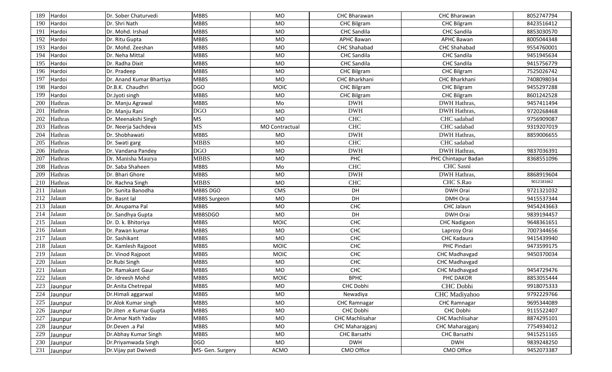| 189 | Hardoi  | Dr. Sober Chaturvedi     | <b>MBBS</b>         | MO             | CHC Bharawan        | CHC Bharawan        | 8052747794 |
|-----|---------|--------------------------|---------------------|----------------|---------------------|---------------------|------------|
| 190 | Hardoi  | Dr. Shri Nath            | <b>MBBS</b>         | <b>MO</b>      | <b>CHC Bilgram</b>  | <b>CHC Bilgram</b>  | 8423516412 |
| 191 | Hardoi  | Dr. Mohd. Irshad         | <b>MBBS</b>         | <b>MO</b>      | <b>CHC</b> Sandila  | <b>CHC</b> Sandila  | 8853030570 |
| 192 | Hardoi  | Dr. Ritu Gupta           | <b>MBBS</b>         | <b>MO</b>      | <b>APHC Bawan</b>   | <b>APHC Bawan</b>   | 8005044348 |
| 193 | Hardoi  | Dr. Mohd. Zeeshan        | <b>MBBS</b>         | <b>MO</b>      | <b>CHC Shahabad</b> | <b>CHC Shahabad</b> | 9554760001 |
| 194 | Hardoi  | Dr. Neha Mittal          | <b>MBBS</b>         | MO             | <b>CHC</b> Sandila  | <b>CHC</b> Sandila  | 9451945634 |
| 195 | Hardoi  | Dr. Radha Dixit          | <b>MBBS</b>         | <b>MO</b>      | <b>CHC</b> Sandila  | <b>CHC</b> Sandila  | 9415756779 |
| 196 | Hardoi  | Dr. Pradeep              | <b>MBBS</b>         | <b>MO</b>      | <b>CHC Bilgram</b>  | <b>CHC Bilgram</b>  | 7525026742 |
| 197 | Hardoi  | Dr. Anand Kumar Bhartiya | <b>MBBS</b>         | <b>MO</b>      | CHC Bharkhani       | CHC Bharkhani       | 7408098034 |
| 198 | Hardoi  | Dr.B.K. Chaudhri         | <b>DGO</b>          | <b>MOIC</b>    | <b>CHC Bilgram</b>  | <b>CHC Bilgram</b>  | 9455297288 |
| 199 | Hardoi  | Dr.Jyoti singh           | <b>MBBS</b>         | MO             | <b>CHC Bilgram</b>  | <b>CHC Bilgram</b>  | 8601242528 |
| 200 | Hathras | Dr. Manju Agrawal        | <b>MBBS</b>         | Mo             | <b>DWH</b>          | DWH Hathras,        | 9457411494 |
| 201 | Hathras | Dr. Manju Rani           | <b>DGO</b>          | <b>MO</b>      | <b>DWH</b>          | DWH Hathras,        | 9720268468 |
| 202 | Hathras | Dr. Meenakshi Singh      | <b>MS</b>           | <b>MO</b>      | <b>CHC</b>          | CHC sadabad         | 9756909087 |
| 203 | Hathras | Dr. Neerja Sachdeva      | <b>MS</b>           | MO Contractual | <b>CHC</b>          | CHC sadabad         | 9319207019 |
| 204 | Hathras | Dr. Shobhawati           | <b>MBBS</b>         | <b>MO</b>      | <b>DWH</b>          | DWH Hathras,        | 8859006655 |
| 205 | Hathras | Dr. Swati garg           | <b>MBBS</b>         | <b>MO</b>      | <b>CHC</b>          | CHC sadabad         |            |
| 206 | Hathras | Dr. Vandana Pandey       | <b>DGO</b>          | <b>MO</b>      | <b>DWH</b>          | DWH Hathras,        | 9837036391 |
| 207 | Hathras | Dr. Manisha Maurya       | <b>MBBS</b>         | <b>MO</b>      | PHC                 | PHC Chintapur Badan | 8368551096 |
| 208 | Hathras | Dr. Saba Shaheen         | <b>MBBS</b>         | Mo             | <b>CHC</b>          | CHC Sasni           |            |
| 209 | Hathras | Dr. Bhari Ghore          | <b>MBBS</b>         | <b>MO</b>      | <b>DWH</b>          | DWH Hathras,        | 8868919604 |
| 210 | Hathras | Dr. Rachna Singh         | <b>MBBS</b>         | MO             | <b>CHC</b>          | CHC S.Rao           | 9012181662 |
| 211 | Jalaun  | Dr. Sunita Banodha       | MBBS DGO            | <b>CMS</b>     | DH                  | DWH Orai            | 9721321032 |
| 212 | Jalaun  | Dr. Basnt lal            | <b>MBBS Surgeon</b> | <b>MO</b>      | DH                  | <b>DMH Orai</b>     | 9415537344 |
| 213 | Jalaun  | Dr. Anupama Pal          | <b>MBBS</b>         | MO             | <b>CHC</b>          | CHC Jalaun          | 9454243663 |
| 214 | Jalaun  | Dr. Sandhya Gupta        | <b>MBBSDGO</b>      | MO             | DH                  | DWH Orai            | 9839194457 |
| 215 | Jalaun  | Dr. D. k. Bhitoriya      | <b>MBBS</b>         | <b>MOIC</b>    | <b>CHC</b>          | <b>CHC Nadigaon</b> | 9648361651 |
| 216 | Jalaun  | Dr. Pawan kumar          | <b>MBBS</b>         | MO             | CHC                 | Laprosy Orai        | 7007344656 |
| 217 | Jalaun  | Dr. Sashikant            | <b>MBBS</b>         | <b>MO</b>      | CHC                 | CHC Kadaura         | 9415439940 |
| 218 | Jalaun  | Dr. Kamlesh Rajpoot      | <b>MBBS</b>         | <b>MOIC</b>    | <b>CHC</b>          | PHC Pindari         | 9473599175 |
| 219 | Jalaun  | Dr. Vinod Rajpoot        | <b>MBBS</b>         | <b>MOIC</b>    | CHC                 | CHC Madhavgad       | 9450370034 |
| 220 | Jalaun  | Dr.Rubi Singh            | <b>MBBS</b>         | <b>MO</b>      | <b>CHC</b>          | CHC Madhavgad       |            |
| 221 | Jalaun  | Dr. Ramakant Gaur        | <b>MBBS</b>         | MO             | <b>CHC</b>          | CHC Madhavgad       | 9454729476 |
| 222 | Jalaun  | Dr. Idreesh Mohd         | <b>MBBS</b>         | <b>MOIC</b>    | <b>BPHC</b>         | PHC DAKOR           | 8853055444 |
| 223 | Jaunpur | Dr.Anita Chetrepal       | <b>MBBS</b>         | MO             | CHC Dobhi           | <b>CHC</b> Dobhi    | 9918075333 |
| 224 | Jaunpur | Dr.Himali aggarwal       | <b>MBBS</b>         | MO             | Newadiya            | CHC Madiyahoo       | 9792229766 |
| 225 | Jaunpur | Dr.Alok Kumar singh      | <b>MBBS</b>         | MO             | <b>CHC Ramnagar</b> | <b>CHC Ramnagar</b> | 9695344089 |
| 226 | Jaunpur | Dr.Jiten .e Kumar Gupta  | <b>MBBS</b>         | MO             | CHC Dobhi           | CHC Dobhi           | 9115522407 |
| 227 | Jaunpur | Dr.Amar Nath Yadav       | <b>MBBS</b>         | MO             | CHC Machlisahar     | CHC Machlisahar     | 8874295101 |
| 228 | Jaunpur | Dr.Deven .a Pal          | <b>MBBS</b>         | MO             | CHC Maharajganj     | CHC Maharajganj     | 7754934012 |
| 229 | Jaunpur | Dr.Abhay Kumar Singh     | <b>MBBS</b>         | MO             | CHC Barsathi        | CHC Barsathi        | 9415251165 |
| 230 | Jaunpur | Dr.Priyamwada Singh      | <b>DGO</b>          | MO             | <b>DWH</b>          | <b>DWH</b>          | 9839248250 |
| 231 | Jaunpur | Dr. Vijay pat Dwivedi    | MS- Gen. Surgery    | ACMO           | CMO Office          | CMO Office          | 9452073387 |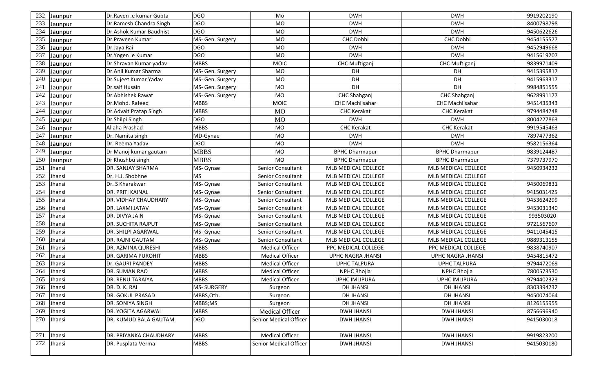| 232 | Jaunpur    | Dr.Raven .e kumar Gupta   | <b>DGO</b>       | Mo                     | <b>DWH</b>               | <b>DWH</b>               | 9919202190 |
|-----|------------|---------------------------|------------------|------------------------|--------------------------|--------------------------|------------|
| 233 | Jaunpur    | Dr.Ramesh Chandra Singh   | <b>DGO</b>       | MO                     | <b>DWH</b>               | <b>DWH</b>               | 8400798798 |
| 234 | Jaunpur    | Dr.Ashok Kumar Baudhist   | <b>DGO</b>       | <b>MO</b>              | <b>DWH</b>               | <b>DWH</b>               | 9450622626 |
| 235 | Jaunpur    | Dr.Praveen Kumar          | MS- Gen. Surgery | <b>MO</b>              | CHC Dobhi                | CHC Dobhi                | 9454155577 |
| 236 | Jaunpur    | Dr.Jaya Rai               | <b>DGO</b>       | MO                     | <b>DWH</b>               | <b>DWH</b>               | 9452949668 |
| 237 | Jaunpur    | Dr.Yogen .e Kumar         | <b>DGO</b>       | MO                     | <b>DWH</b>               | <b>DWH</b>               | 9415619207 |
| 238 | Jaunpur    | Dr.Shravan Kumar yadav    | <b>MBBS</b>      | MOIC                   | <b>CHC Muftiganj</b>     | <b>CHC Muftiganj</b>     | 9839971409 |
| 239 | Jaunpur    | Dr.Anil Kumar Sharma      | MS- Gen. Surgery | MO                     | DH.                      | DH                       | 9415395817 |
| 240 | Jaunpur    | Dr.Sujeet Kumar Yadav     | MS- Gen. Surgery | <b>MO</b>              | DH                       | DH                       | 9415963317 |
| 241 | Jaunpur    | Dr.saif Husain            | MS- Gen. Surgery | <b>MO</b>              | DH                       | DH                       | 9984851555 |
| 242 | Jaunpur    | Dr.Abhishek Rawat         | MS- Gen. Surgery | MO                     | CHC Shahganj             | CHC Shahganj             | 9628991177 |
| 243 | Jaunpur    | Dr.Mohd. Rafeeq           | <b>MBBS</b>      | <b>MOIC</b>            | <b>CHC Machlisahar</b>   | <b>CHC Machlisahar</b>   | 9451435343 |
| 244 | Jaunpur    | Dr.Advait Pratap Singh    | <b>MBBS</b>      | <b>MO</b>              | <b>CHC Kerakat</b>       | <b>CHC Kerakat</b>       | 9794484748 |
| 245 | Jaunpur    | Dr.Shilpi Singh           | <b>DGO</b>       | M <sub>O</sub>         | <b>DWH</b>               | <b>DWH</b>               | 8004227863 |
| 246 | Jaunpur    | Allaha Prashad            | <b>MBBS</b>      | MO.                    | <b>CHC Kerakat</b>       | <b>CHC Kerakat</b>       | 9919545463 |
| 247 | Jaunpur    | Dr. Namita singh          | MD-Gynae         | <b>MO</b>              | <b>DWH</b>               | <b>DWH</b>               | 7897477362 |
| 248 | Jaunpur    | Dr. Reema Yadav           | DGO              | <b>MO</b>              | <b>DWH</b>               | <b>DWH</b>               | 9582156364 |
| 249 | Jaunpur    | Dr Manoj kumar gautam     | <b>MBBS</b>      | MO.                    | <b>BPHC Dharmapur</b>    | <b>BPHC Dharmapur</b>    | 9839124487 |
| 250 | Jaunpur    | Dr Khushbu singh          | <b>MBBS</b>      | <b>MO</b>              | <b>BPHC Dharmapur</b>    | <b>BPHC Dharmapur</b>    | 7379737970 |
| 251 | Jhansi     | DR. SANJAY SHARMA         | MS- Gynae        | Senior Consultant      | MLB MEDICAL COLLEGE      | MLB MEDICAL COLLEGE      | 9450934232 |
| 252 | Jhansi     | Dr. H.J. Shobhne          | <b>MS</b>        | Senior Consultant      | MLB MEDICAL COLLEGE      | MLB MEDICAL COLLEGE      |            |
| 253 | Jhansi     | Dr. S Kharakwar           | MS-Gynae         | Senior Consultant      | MLB MEDICAL COLLEGE      | MLB MEDICAL COLLEGE      | 9450069831 |
| 254 | Jhansi     | DR. PRITI KAINAL          | MS- Gynae        | Senior Consultant      | MLB MEDICAL COLLEGE      | MLB MEDICAL COLLEGE      | 9415031425 |
| 255 | Jhansi     | DR. VIDHAY CHAUDHARY      | MS- Gynae        | Senior Consultant      | MLB MEDICAL COLLEGE      | MLB MEDICAL COLLEGE      | 9453624299 |
| 256 | Jhansi     | DR. LAXMI JATAV           | MS- Gynae        | Senior Consultant      | MLB MEDICAL COLLEGE      | MLB MEDICAL COLLEGE      | 9453031340 |
| 257 | Jhansi     | DR. DIVYA JAIN            | MS- Gynae        | Senior Consultant      | MLB MEDICAL COLLEGE      | MLB MEDICAL COLLEGE      | 993503020  |
| 258 | Jhansi     | <b>DR. SUCHITA RAJPUT</b> | MS- Gynae        | Senior Consultant      | MLB MEDICAL COLLEGE      | MLB MEDICAL COLLEGE      | 9721567607 |
| 259 | Jhansi     | DR. SHILPI AGARWAL        | MS- Gynae        | Senior Consultant      | MLB MEDICAL COLLEGE      | MLB MEDICAL COLLEGE      | 9411045415 |
| 260 | Jhansi     | DR. RAJNI GAUTAM          | MS- Gynae        | Senior Consultant      | MLB MEDICAL COLLEGE      | MLB MEDICAL COLLEGE      | 9889313155 |
| 261 | Jhansi     | DR. AZMINA QURESHI        | <b>MBBS</b>      | <b>Medical Officer</b> | PPC MEDICAL COLLEGE      | PPC MEDICAL COLLEGE      | 9838740907 |
| 262 | Jhansi     | <b>DR. GARIMA PUROHIT</b> | <b>MBBS</b>      | <b>Medical Officer</b> | <b>UPHC NAGRA JHANSI</b> | <b>UPHC NAGRA JHANSI</b> | 9454815472 |
| 263 | Jhansi     | Dr. GAURI PANDEY          | <b>MBBS</b>      | <b>Medical Officer</b> | <b>UPHC TALPURA</b>      | <b>UPHC TALPURA</b>      | 9794472069 |
| 264 | Jhansi     | DR. SUMAN RAO             | <b>MBBS</b>      | <b>Medical Officer</b> | <b>NPHC Bhojla</b>       | NPHC Bhojla              | 7800573530 |
| 265 | Jhansi     | <b>DR. RENU TARAIYA</b>   | <b>MBBS</b>      | <b>Medical Officer</b> | <b>UPHC IMLIPURA</b>     | <b>UPHC IMLIPURA</b>     | 9794402323 |
|     | 266 Jhansi | DR. D. K. RAI             | MS-SURGERY       | Surgeon                | <b>DH JHANSI</b>         | <b>DH JHANSI</b>         | 8303394732 |
| 267 | Jhansi     | <b>DR. GOKUL PRASAD</b>   | MBBS, Oth.       | Surgeon                | <b>DH JHANSI</b>         | <b>DH JHANSI</b>         | 9450074064 |
| 268 | Jhansi     | <b>DR. SONIYA SINGH</b>   | MBBS;MS          | Surgeon                | <b>DH JHANSI</b>         | <b>DH JHANSI</b>         | 8126155955 |
| 269 | Jhansi     | DR. YOGITA AGARWAL        | <b>MBBS</b>      | <b>Medical Officer</b> | <b>DWH JHANSI</b>        | <b>DWH JHANSI</b>        | 8756696940 |
| 270 | Jhansi     | DR. KUMUD BALA GAUTAM     | <b>DGO</b>       | Senior Medical Officer | <b>DWH JHANSI</b>        | <b>DWH JHANSI</b>        | 9415030018 |
| 271 | Jhansi     | DR. PRIYANKA CHAUDHARY    | <b>MBBS</b>      | <b>Medical Officer</b> | <b>DWH JHANSI</b>        | <b>DWH JHANSI</b>        | 9919823200 |
| 272 | Jhansi     | DR. Pusplata Verma        | <b>MBBS</b>      | Senior Medical Officer | <b>DWH JHANSI</b>        | <b>DWH JHANSI</b>        | 9415030180 |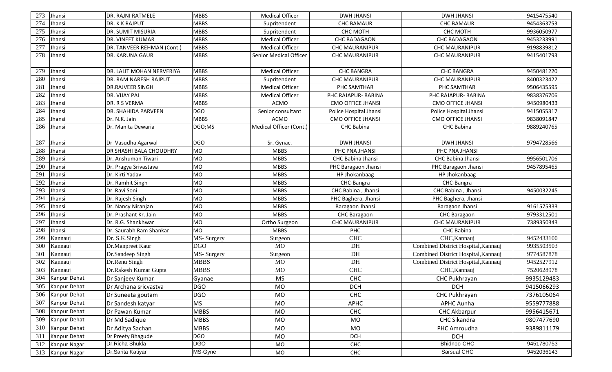| 273 | Jhansi              | DR. RAJNI RATMELE          | <b>MBBS</b> | <b>Medical Officer</b>        | <b>DWH JHANSI</b>        | <b>DWH JHANSI</b>                   | 9415475540 |
|-----|---------------------|----------------------------|-------------|-------------------------------|--------------------------|-------------------------------------|------------|
| 274 | Jhansi              | DR. K K RAJPUT             | <b>MBBS</b> | Supritendent                  | <b>CHC BAMAUR</b>        | <b>CHC BAMAUR</b>                   | 9454363753 |
| 275 | Jhansi              | DR. SUMIT MISURIA          | <b>MBBS</b> | Supritendent                  | CHC MOTH                 | CHC MOTH                            | 9936050977 |
| 276 | Jhansi              | DR. VINEET KUMAR           | <b>MBBS</b> | <b>Medical Officer</b>        | CHC BADAGAON             | <b>CHC BADAGAON</b>                 | 9453233991 |
| 277 | Jhansi              | DR. TANVEER REHMAN (Cont.) | <b>MBBS</b> | <b>Medical Officer</b>        | <b>CHC MAURANIPUR</b>    | <b>CHC MAURANIPUR</b>               | 9198839812 |
| 278 | Jhansi              | DR. KARUNA GAUR            | <b>MBBS</b> | <b>Senior Medical Officer</b> | <b>CHC MAURANIPUR</b>    | <b>CHC MAURANIPUR</b>               | 9415401793 |
| 279 | Jhansi              | DR. LALIT MOHAN NERVERIYA  | <b>MBBS</b> | <b>Medical Officer</b>        | <b>CHC BANGRA</b>        | <b>CHC BANGRA</b>                   | 9450481220 |
| 280 | Jhansi              | DR. RAM NARESH RAJPUT      | <b>MBBS</b> | Supritendent                  | <b>CHC MAURANIPUR</b>    | <b>CHC MAURANIPUR</b>               | 8400323422 |
| 281 | Jhansi              | <b>DR.RAJVEER SINGH</b>    | <b>MBBS</b> | <b>Medical Officer</b>        | PHC SAMTHAR              | PHC SAMTHAR                         | 9506435595 |
| 282 | Jhansi              | DR. VIJAY PAL              | <b>MBBS</b> | <b>Medical Officer</b>        | PHC RAJAPUR- BABINA      | PHC RAJAPUR- BABINA                 | 9838376706 |
| 283 | Jhansi              | DR. R S VERMA              | <b>MBBS</b> | <b>ACMO</b>                   | <b>CMO OFFICE JHANSI</b> | <b>CMO OFFICE JHANSI</b>            | 9450980433 |
| 284 | Jhansi              | DR. SHAHIDA PARVEEN        | <b>DGO</b>  | Senior consultant             | Police Hospital Jhansi   | Police Hospital Jhansi              | 9415055317 |
| 285 | Jhansi              | Dr. N.K. Jain              | <b>MBBS</b> | <b>ACMO</b>                   | <b>CMO OFFICE JHANSI</b> | <b>CMO OFFICE JHANSI</b>            | 9838091847 |
| 286 | Jhansi              | Dr. Manita Dewaria         | DGO;MS      | Medical Officer (Cont.)       | <b>CHC Babina</b>        | <b>CHC Babina</b>                   | 9889240765 |
| 287 | Jhansi              | Dr Vasudha Agarwal         | <b>DGO</b>  | Sr. Gynac.                    | <b>DWH JHANSI</b>        | <b>DWH JHANSI</b>                   | 9794728566 |
| 288 | Jhansi              | DR SHASHI BALA CHOUDHRY    | MO          | <b>MBBS</b>                   | PHC PNA JHANSI           | PHC PNA JHANSI                      |            |
| 289 | Jhansi              | Dr. Anshuman Tiwari        | MO          | <b>MBBS</b>                   | <b>CHC Babina Jhansi</b> | CHC Babina Jhansi                   | 9956501706 |
| 290 | Jhansi              | Dr. Pragya Srivastava      | MO          | <b>MBBS</b>                   | PHC Baragaon Jhansi      | PHC Baragaon Jhansi                 | 9457895465 |
| 291 | Jhansi              | Dr. Kirti Yadav            | MO          | <b>MBBS</b>                   | HP Jhokanbaag            | HP Jhokanbaag                       |            |
| 292 | Jhansi              | Dr. Ramhit Singh           | MO          | <b>MBBS</b>                   | CHC-Bangra               | CHC-Bangra                          |            |
| 293 | Jhansi              | Dr Ravi Soni               | MO          | <b>MBBS</b>                   | CHC Babina, Jhansi       | CHC Babina, Jhansi                  | 9450032245 |
| 294 | Jhansi              | Dr. Rajesh Singh           | MO          | <b>MBBS</b>                   | PHC Baghera, Jhansi      | PHC Baghera, Jhansi                 |            |
| 295 | Jhansi              | Dr. Nancy Niranjan         | MO          | <b>MBBS</b>                   | Baragaon Jhansi          | Baragaon Jhansi                     | 9161575333 |
| 296 | Jhansi              | Dr. Prashant Kr. Jain      | <b>MO</b>   | <b>MBBS</b>                   | CHC Baragaon             | CHC Baragaon                        | 9793312501 |
| 297 | Jhansi              | Dr. R.G. Shankhwar         | MO          | Ortho Surgeon                 | <b>CHC MAURANIPUR</b>    | <b>CHC MAURANIPUR</b>               | 7389350343 |
| 298 | Jhansi              | Dr. Saurabh Ram Shankar    | MO          | <b>MBBS</b>                   | PHC                      | <b>CHC Babina</b>                   |            |
| 299 | Kannauj             | Dr. S.K.Singh              | MS-Surgery  | Surgeon                       | <b>CHC</b>               | CHC, Kannauj                        | 9452433100 |
| 300 | Kannauj             | Dr.Manpreet Kaur           | <b>DGO</b>  | <b>MO</b>                     | DH                       | Combined District Hospital, Kannauj | 9935503503 |
| 301 | Kannauj             | Dr.Sandeep Singh           | MS-Surgery  | Surgeon                       | DH                       | Combined District Hospital, Kannauj | 9774587878 |
| 302 | Kannauj             | Dr.Renu Singh              | <b>MBBS</b> | <b>MO</b>                     | DH                       | Combined District Hospital, Kannauj | 9452527912 |
| 303 | Kannauj             | Dr.Rakesh Kumar Gupta      | <b>MBBS</b> | <b>MO</b>                     | <b>CHC</b>               | CHC, Kannauj                        | 7520628978 |
| 304 | Kanpur Dehat        | Dr Sanjeev Kumar           | Gyanae      | <b>MS</b>                     | CHC                      | CHC Pukhrayan                       | 9935129483 |
| 305 | Kanpur Dehat        | Dr Archana sricvastva      | <b>DGO</b>  | MO                            | <b>DCH</b>               | <b>DCH</b>                          | 9415066293 |
| 306 | Kanpur Dehat        | Dr Suneeta goutam          | <b>DGO</b>  | <b>MO</b>                     | CHC                      | CHC Pukhrayan                       | 7376105064 |
| 307 | Kanpur Dehat        | Dr Sandesh katyar          | <b>MS</b>   | MO                            | APHC                     | APHC Aunha                          | 9559777888 |
| 308 | Kanpur Dehat        | Dr Pawan Kumar             | <b>MBBS</b> | MO                            | CHC                      | <b>CHC Akbarpur</b>                 | 9956415671 |
| 309 | Kanpur Dehat        | Dr Md Sadique              | <b>MBBS</b> | <b>MO</b>                     | <b>MO</b>                | CHC Sikandra                        | 9807477690 |
| 310 | Kanpur Dehat        | Dr Aditya Sachan           | <b>MBBS</b> | <b>MO</b>                     | MO                       | PHC Amroudha                        | 9389811179 |
| 311 | Kanpur Dehat        | Dr Preety Bhagude          | <b>DGO</b>  | MO                            | <b>DCH</b>               | <b>DCH</b>                          |            |
| 312 | Kanpur Nagar        | Dr.Richa Shukla            | <b>DGO</b>  | MO                            | <b>CHC</b>               | Bhidnoo-CHC                         | 9451780753 |
| 313 | <b>Kanpur Nagar</b> | Dr.Sarita Katiyar          | MS-Gyne     | MO                            | CHC                      | Sarsual CHC                         | 9452036143 |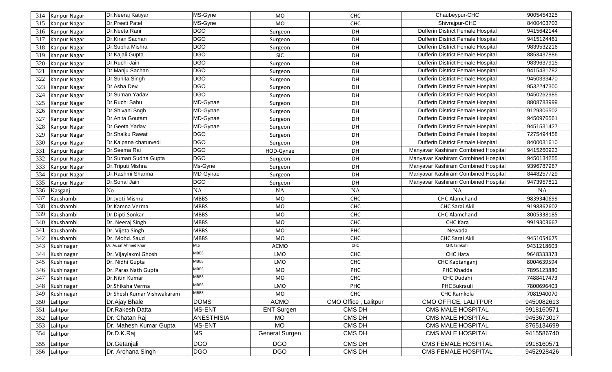| 314 | <b>Kanpur Nagar</b> | Dr.Neeraj Katiyar          | MS-Gyne           | MO                       | <b>CHC</b>           | Chaubeypur-CHC                           | 9005454325 |
|-----|---------------------|----------------------------|-------------------|--------------------------|----------------------|------------------------------------------|------------|
| 315 | Kanpur Nagar        | Dr.Preeti Patel            | MS-Gyne           | <b>MO</b>                | <b>CHC</b>           | Shivrajpur-CHC                           | 8400403703 |
| 316 | <b>Kanpur Nagar</b> | Dr.Neeta Rani              | <b>DGO</b>        | Surgeon                  | DH                   | Dufferin District Female Hospital        | 9415642144 |
| 317 | <b>Kanpur Nagar</b> | Dr.Kiran Sachan            | <b>DGO</b>        | Surgeon                  | DH                   | Dufferin District Female Hospital        | 9415124461 |
| 318 | Kanpur Nagar        | Dr.Subha Mishra            | <b>DGO</b>        | Surgeon                  | DH                   | <b>Dufferin District Female Hospital</b> | 9839532216 |
| 319 | Kanpur Nagar        | Dr.Kajali Gupta            | <b>DGO</b>        | <b>SIC</b>               | DH                   | <b>Dufferin District Female Hospital</b> | 8853437886 |
| 320 | <b>Kanpur Nagar</b> | Dr.Ruchi Jain              | <b>DGO</b>        | Surgeon                  | DH                   | Dufferin District Female Hospital        | 9839637915 |
| 321 | <b>Kanpur Nagar</b> | Dr.Manju Sachan            | <b>DGO</b>        | Surgeon                  | DH                   | Dufferin District Female Hospital        | 9415431782 |
| 322 | Kanpur Nagar        | Dr.Sunita Singh            | <b>DGO</b>        | Surgeon                  | DH                   | Dufferin District Female Hospital        | 9450333470 |
| 323 | Kanpur Nagar        | Dr.Asha Devi               | <b>DGO</b>        | Surgeon                  | DH                   | Dufferin District Female Hospital        | 9532247300 |
| 324 | Kanpur Nagar        | Dr.Suman Yadav             | <b>DGO</b>        | Surgeon                  | DH                   | Dufferin District Female Hospital        | 9450262985 |
| 325 | Kanpur Nagar        | Dr.Ruchi Sahu              | MD-Gynae          | Surgeon                  | DH                   | Dufferin District Female Hospital        | 8808783999 |
| 326 | Kanpur Nagar        | Dr.Shivani Sngh            | MD-Gynae          | Surgeon                  | DH                   | Dufferin District Female Hospital        | 9129306502 |
| 327 | <b>Kanpur Nagar</b> | Dr.Anita Goutam            | MD-Gynae          | Surgeon                  | DH                   | Dufferin District Female Hospital        | 9450976561 |
| 328 | Kanpur Nagar        | Dr.Geeta Yadav             | MD-Gynae          | Surgeon                  | DH                   | Dufferin District Female Hospital        | 9451531427 |
| 329 | Kanpur Nagar        | Dr.Shalku Rawat            | <b>DGO</b>        | Surgeon                  | DH                   | Dufferin District Female Hospital        | 7275494458 |
| 330 | Kanpur Nagar        | Dr.Kalpana chaturvedi      | <b>DGO</b>        | Surgeon                  | DH                   | Dufferin District Female Hospital        | 8400031610 |
| 331 | <b>Kanpur Nagar</b> | Dr.Seema Rai               | <b>DGO</b>        | HOD-Gynae                | DH                   | Manyavar Kashiram Combined Hospital      | 9415260923 |
| 332 | Kanpur Nagar        | Dr.Suman Sudha Gupta       | <b>DGO</b>        | Surgeon                  | DH                   | Manyavar Kashiram Combined Hospital      | 9450134255 |
| 333 | <b>Kanpur Nagar</b> | Dr.Triputi Mishra          | Ms-Gyne           | Surgeon                  | DH                   | Manyavar Kashiram Combined Hospital      | 9396787987 |
| 334 | <b>Kanpur Nagar</b> | Dr.Rashmi Sharma           | MD-Gynae          | Surgeon                  | DH                   | Manyavar Kashiram Combined Hospital      | 8448257729 |
| 335 | Kanpur Nagar        | Dr.Sonal Jain              | <b>DGO</b>        | Surgeon                  | DH                   | Manyavar Kashiram Combined Hospital      | 9473957811 |
| 336 | Kasganj             | No                         | NA                | <b>NA</b>                | NA                   | <b>NA</b>                                | <b>NA</b>  |
|     |                     |                            |                   |                          |                      |                                          |            |
| 337 | Kaushambi           | Dr.Jyoti Mishra            | <b>MBBS</b>       | <b>MO</b>                | <b>CHC</b>           | CHC Alamchand                            | 9839340699 |
| 338 | Kaushambi           | Dr.Kamna Verma             | <b>MBBS</b>       | <b>MO</b>                | CHC                  | <b>CHC Sarai Akil</b>                    | 9198862602 |
| 339 | Kaushambi           | Dr.Dipti Sonkar            | <b>MBBS</b>       | <b>MO</b>                | <b>CHC</b>           | CHC Alamchand                            | 8005338185 |
| 340 | Kaushambi           | Dr. Neeraj Singh           | <b>MBBS</b>       | MO                       | <b>CHC</b>           | CHC Kara                                 | 9919303667 |
| 341 | Kaushambi           | Dr. Vijeta Singh           | <b>MBBS</b>       | <b>MO</b>                | PHC                  | Newada                                   |            |
| 342 | Kaushambi           | Dr. Mohd. Saud             | <b>MBBS</b>       | <b>MO</b>                | <b>CHC</b>           | CHC Sarai Akil                           | 9451054675 |
| 343 | Kushinagar          | Dr. Ausaf Ahmed Khan       | M.S               | <b>ACMO</b>              | CHC                  | CHCTamkuhi                               | 9431218603 |
| 344 | Kushinagar          | Dr. Vijaylaxmi Ghosh       | <b>MBBS</b>       | LMO                      | <b>CHC</b>           | CHC Hata                                 | 9648333373 |
| 345 | Kushinagar          | Dr. Nidhi Gupta            | <b>MBBS</b>       | LMO                      | CHC                  | CHC Kaptanganj                           | 8004639594 |
| 346 | Kushinagar          | Dr. Paras Nath Gupta       | <b>MBBS</b>       | MO                       | PHC                  | PHC Khadda                               | 7895123880 |
| 347 | Kushinagar          | Dr.Nitin Kumar             | <b>MBBS</b>       | MO                       | CHC                  | CHC Dudahi                               | 7488417473 |
| 348 | Kushinagar          | Dr.Shiksha Verma           | <b>MBBS</b>       | LMO                      | <b>PHC</b>           | PHC Sukrauli                             | 7800696403 |
| 349 | Kushinagar          | Dr Shesh Kumar Vishwakaram | <b>MBBS</b>       | MO                       | <b>CHC</b>           | CHC Ramkola                              | 7081940070 |
| 350 | Lalitpur            | Dr.Ajay Bhale              | <b>DOMS</b>       | <b>ACMO</b>              | CMO Office, Lalitpur | CMO OFFICE, LALITPUR                     | 9450082613 |
| 351 | Lalitpur            | Dr.Rakesh Datta            | MS-ENT            | <b>ENT Surgen</b>        | CMS DH               | <b>CMS MALE HOSPITAL</b>                 | 9918160571 |
| 352 | Lalitpur            | Dr. Chatan Raj             | <b>ANESTHISIA</b> | <b>MO</b>                | CMS DH               | <b>CMS MALE HOSPITAL</b>                 | 9453673017 |
| 353 | Lalitpur            | Dr. Mahesh Kumar Gupta     | MS-ENT            | <b>MO</b>                | CMS DH               | <b>CMS MALE HOSPITAL</b>                 | 8765134699 |
| 354 | Lalitpur            | Dr.D.K.Raj                 | <b>MS</b>         | General Surgen           | CMS DH               | <b>CMS MALE HOSPITAL</b>                 | 9415586740 |
| 355 | Lalitpur            | Dr.Getanjali               | <b>DGO</b>        | <b>DGO</b><br><b>DGO</b> | CMS DH               | <b>CMS FEMALE HOSPITAL</b>               | 9918160571 |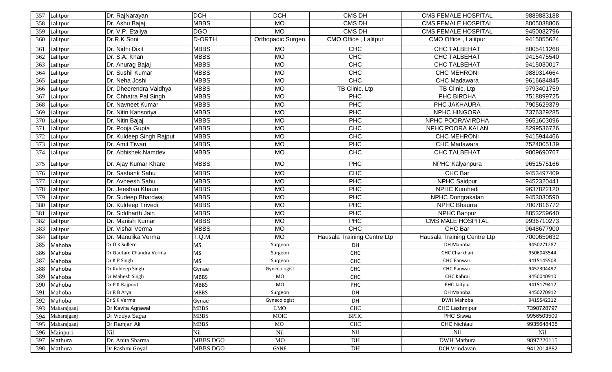| 357 | Lalitpur    | Dr. RajNarayan           | <b>DCH</b>    | <b>DCH</b>               | CMS DH                      | <b>CMS FEMALE HOSPITAL</b>  | 9889883188 |
|-----|-------------|--------------------------|---------------|--------------------------|-----------------------------|-----------------------------|------------|
| 358 | Lalitpur    | Dr. Ashu Bajaj           | <b>MBBS</b>   | <b>MO</b>                | CMS DH                      | <b>CMS FEMALE HOSPITAL</b>  | 8005038806 |
| 359 | Lalitpur    | Dr. V.P. Etaliya         | <b>DGO</b>    | <b>MO</b>                | CMS DH                      | <b>CMS FEMALE HOSPITAL</b>  | 9450032796 |
| 360 | Lalitpur    | Dr.R.K Soni              | <b>D-ORTH</b> | <b>Orthopadic Surgen</b> | CMO Office, Lalitpur        | CMO Office, Lalitpur        | 9415055624 |
| 361 | Lalitpur    | Dr. Nidhi Dixit          | <b>MBBS</b>   | <b>MO</b>                | <b>CHC</b>                  | <b>CHC TALBEHAT</b>         | 8005411268 |
| 362 | Lalitpur    | Dr. S.A. Khan            | <b>MBBS</b>   | <b>MO</b>                | <b>CHC</b>                  | <b>CHC TALBEHAT</b>         | 9415475540 |
| 363 | Lalitpur    | Dr. Anurag Bajaj         | <b>MBBS</b>   | <b>MO</b>                | <b>CHC</b>                  | <b>CHC TALBEHAT</b>         | 9415030017 |
| 364 | Lalitpur    | Dr. Sushil Kumar         | <b>MBBS</b>   | <b>MO</b>                | <b>CHC</b>                  | <b>CHC MEHRONI</b>          | 9889314664 |
| 365 | Lalitpur    | Dr. Neha Joshi           | <b>MBBS</b>   | <b>MO</b>                | CHC                         | CHC Madawara                | 9616684845 |
| 366 | Lalitpur    | Dr. Dheerendra Vaidhya   | <b>MBBS</b>   | MO                       | TB Clinic, Ltp              | TB Clinic, Ltp              | 9793401759 |
| 367 | Lalitpur    | Dr. Chhatra Pal Singh    | <b>MBBS</b>   | <b>MO</b>                | <b>PHC</b>                  | PHC BIRDHA                  | 7518899725 |
| 368 | Lalitpur    | Dr. Navneet Kumar        | <b>MBBS</b>   | <b>MO</b>                | PHC                         | PHC JAKHAURA                | 7905629379 |
| 369 | Lalitpur    | Dr. Nitin Kansoriya      | <b>MBBS</b>   | <b>MO</b>                | PHC                         | <b>NPHC HINGORA</b>         | 7376329285 |
| 370 | Lalitpur    | Dr. Nitin Bajaj          | <b>MBBS</b>   | <b>MO</b>                | PHC                         | NPHC POORAVIRDHA            | 9651603096 |
| 371 | Lalitpur    | Dr. Pooja Gupta          | <b>MBBS</b>   | <b>MO</b>                | CHC                         | NPHC POORA KALAN            | 8299536726 |
| 372 | Lalitpur    | Dr. Kuldeep Singh Rajput | <b>MBBS</b>   | <b>MO</b>                | CH <sub>C</sub>             | <b>CHC MEHRONI</b>          | 9415944466 |
| 373 | Lalitpur    | Dr. Amit Tiwari          | <b>MBBS</b>   | <b>MO</b>                | <b>PHC</b>                  | CHC Madawara                | 7524005139 |
| 374 | Lalitpur    | Dr. Abhishek Namdev      | <b>MBBS</b>   | <b>MO</b>                | <b>CHC</b>                  | <b>CHC TALBEHAT</b>         | 9009690767 |
| 375 | Lalitpur    | Dr. Ajay Kumar Khare     | <b>MBBS</b>   | <b>MO</b>                | <b>PHC</b>                  | NPHC Kalyanpura             | 9651575166 |
| 376 | Lalitpur    | Dr. Sashank Sahu         | <b>MBBS</b>   | <b>MO</b>                | <b>CHC</b>                  | CHC Bar                     | 9453497409 |
| 377 | Lalitpur    | Dr. Avneesh Sahu         | <b>MBBS</b>   | <b>MO</b>                | PHC                         | NPHC Saidpur                | 9452320441 |
| 378 | Lalitpur    | Dr. Jeeshan Khaun        | <b>MBBS</b>   | <b>MO</b>                | PHC                         | NPHC Kumhedi                | 9637822120 |
| 379 | Lalitpur    | Dr. Sudeep Bhardwaj      | <b>MBBS</b>   | <b>MO</b>                | PHC                         | NPHC Dongrakalan            | 9453030590 |
| 380 | Lalitpur    | Dr. Kuldeep Trivedi      | <b>MBBS</b>   | <b>MO</b>                | PHC                         | <b>NPHC Bhaurra</b>         | 7007816772 |
| 381 | Lalitpur    | Dr. Siddharth Jain       | <b>MBBS</b>   | <b>MO</b>                | <b>PHC</b>                  | NPHC Banpur                 | 8853259640 |
| 382 | Lalitpur    | Dr. Manish Kumar         | <b>MBBS</b>   | <b>MO</b>                | <b>PHC</b>                  | <b>CMS MALE HOSPITAL</b>    | 9936710273 |
| 383 | Lalitpur    | Dr. Vishal Verma         | <b>MBBS</b>   | <b>MO</b>                | CHC                         | CHC Bar                     | 9648677900 |
| 384 | Lalitpur    | Dr. Manulika Verma       | T.Q.M.        | <b>MO</b>                | Hausala Training Centre Ltp | Hausala Training Centre Ltp | 7000659632 |
| 385 | Mahoba      | Dr D K Sullere           | <b>MS</b>     | Surgeon                  | DH                          | DH Mahoba                   | 9450271287 |
| 386 | Mahoba      | Dr Gautam Chandra Verma  | <b>MS</b>     | Surgeon                  | CHC                         | CHC Charkhari               | 9506043544 |
| 387 | Mahoba      | Dr K P Singh             | <b>MS</b>     | Surgeon                  | CHC                         | CHC Panwari                 | 9415145508 |
| 388 | Mahoba      | Dr Kuldeep Singh         | Gynae         | Gynecologist             | CHC                         | <b>CHC Panwari</b>          | 9452304497 |
| 389 | Mahoba      | Dr Mahesh Singh          | <b>MBBS</b>   | <b>MO</b>                | CHC                         | CHC Kabrai                  | 9450040910 |
| 390 | Mahoba      | Dr P K Rajpoot           | <b>MBBS</b>   | MO                       | PHC                         | PHC Jaitpur                 | 9415179412 |
| 391 | Mahoba      | Dr R B Arya              | <b>MBBS</b>   | Surgeon                  | DH                          | DH Mahoba                   | 9450270912 |
| 392 | Mahoba      | Dr S K Verma             | Gynae         | Gynecologist             | DH                          | DWH Mahoba                  | 9415542312 |
| 393 | Maharajganj | Dr Kavita Agrawal        | <b>MBBS</b>   | <b>LMO</b>               | CHC                         | CHC Lashmipur               | 7398728797 |
| 394 | Maharajganj | Dr Viddya Sagar          | <b>MBBS</b>   | MOIC                     | <b>BPHC</b>                 | <b>PHC Siswa</b>            | 9956503509 |
| 395 | Maharajganj | Dr Ramjan Ali            | <b>MBBS</b>   | MO                       | CHC                         | <b>CHC Nichlaul</b>         | 9935648435 |
| 396 | Mainpuri    | Nil                      | Nil           | Nil                      | Nil                         | Nil                         | Nil        |
| 397 | Mathura     | Dr. Anita Sharma         | MBBS DGO      | MO                       | DH                          | <b>DWH</b> Mathura          | 9897220115 |
| 398 | Mathura     | Dr Rashmi Goyal          | MBBS DGO      | GYNE                     | DH                          | DCH Vrindavan               | 9412014882 |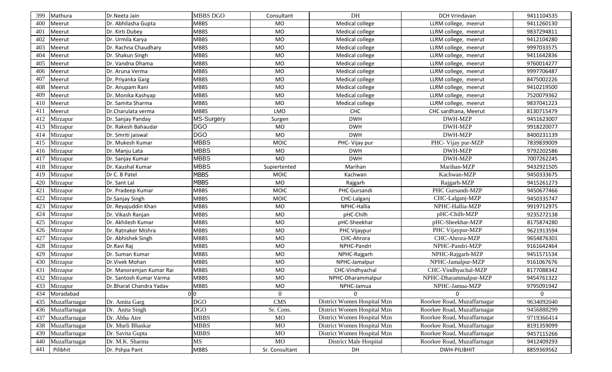| 399 | Mathura       | Dr.Neeta Jain            | <b>MBBS DGO</b> | Consultant       | DH                          | DCH Vrindavan               | 9411104535 |
|-----|---------------|--------------------------|-----------------|------------------|-----------------------------|-----------------------------|------------|
| 400 | Meerut        | Dr. Abhilasha Gupta      | MBBS            | <b>MO</b>        | Medical college             | LLRM college, meerut        | 9411260130 |
| 401 | Meerut        | Dr. Kirti Dubey          | <b>MBBS</b>     | <b>MO</b>        | Medical college             | LLRM college, meerut        | 9837294811 |
| 402 | Meerut        | Dr. Urmila Karya         | <b>MBBS</b>     | <b>MO</b>        | Medical college             | LLRM college, meerut        | 9412104280 |
| 403 | Meerut        | Dr. Rachna Chaudhary     | <b>MBBS</b>     | <b>MO</b>        | Medical college             | LLRM college, meerut        | 9997033575 |
| 404 | Meerut        | Dr. Shakun Singh         | <b>MBBS</b>     | <b>MO</b>        | Medical college             | LLRM college, meerut        | 9411642836 |
| 405 | Meerut        | Dr. Vandna Dhama         | <b>MBBS</b>     | <b>MO</b>        | Medical college             | LLRM college, meerut        | 9760014277 |
| 406 | Meerut        | Dr. Aruna Verma          | MBBS            | <b>MO</b>        | Medical college             | LLRM college, meerut        | 9997706487 |
| 407 | Meerut        | Dr. Priyanka Garg        | <b>MBBS</b>     | <b>MO</b>        | Medical college             | LLRM college, meerut        | 8475002226 |
| 408 | Meerut        | Dr. Anupam Rani          | <b>MBBS</b>     | <b>MO</b>        | Medical college             | LLRM college, meerut        | 9410219500 |
| 409 | Meerut        | Dr. Monika Kashyap       | <b>MBBS</b>     | <b>MO</b>        | Medical college             | LLRM college, meerut        | 7520079362 |
| 410 | Meerut        | Dr. Samita Sharma        | <b>MBBS</b>     | <b>MO</b>        | Medical college             | LLRM college, meerut        | 9837041223 |
| 411 | Meerut        | Dr.Charulata verma       | <b>MBBS</b>     | LMO              | CHC                         | CHC sardhana, Meerut        | 8130715479 |
| 412 | Mirzapur      | Dr. Sanjay Panday        | MS-Surgery      | Surgen           | <b>DWH</b>                  | DWH-MZP                     | 9451623007 |
| 413 | Mirzapur      | Dr. Rakesh Bahaudar      | <b>DGO</b>      | MO               | <b>DWH</b>                  | DWH-MZP                     | 9918220077 |
| 414 | Mirzapur      | Dr. Smriti jaiswal       | <b>DGO</b>      | <b>MO</b>        | <b>DWH</b>                  | <b>DWH-MZP</b>              | 8400231139 |
| 415 | Mirzapur      | Dr. Mukesh Kumar         | <b>MBBS</b>     | <b>MOIC</b>      | PHC- Vijay pur              | PHC- Vijay pur-MZP          | 7839839009 |
| 416 | Mirzapur      | Dr. Manju Lata           | <b>MBBS</b>     | <b>MO</b>        | <b>DWH</b>                  | DWH-MZP                     | 9792202586 |
| 417 | Mirzapur      | Dr. Sanjay Kumar         | <b>MBBS</b>     | <b>MO</b>        | <b>DWH</b>                  | <b>DWH-MZP</b>              | 7007262245 |
| 418 | Mirzapur      | Dr. Kaushal Kumar        | MBBS            | Supiertented     | Marihan                     | Marihan-MZP                 | 9432921505 |
| 419 | Mirzapur      | Dr C. B Patel            | <b>MBBS</b>     | <b>MOIC</b>      | Kachwan                     | Kachwan-MZP                 | 9450333675 |
| 420 | Mirzapur      | Dr. Sant Lal             | <b>MBBS</b>     | <b>MO</b>        | Rajgarh                     | Rajgarh-MZP                 | 9415261273 |
| 421 | Mirzapur      | Dr. Pradeep Kumar        | <b>MBBS</b>     | <b>MOIC</b>      | PHC Gursandi                | PHC Gursandi-MZP            | 9450677466 |
| 422 | Mirzapur      | Dr.Sanjay Singh          | <b>MBBS</b>     | <b>MOIC</b>      | CHC-Lalganj                 | CHC-Lalganj-MZP             | 9450335747 |
| 423 | Mirzapur      | Dr. Reyajuddin Khan      | <b>MBBS</b>     | MO               | NPHC-Hallia                 | NPHC-Hallia-MZP             | 9919712975 |
| 424 | Mirzapur      | Dr. Vikash Ranjan        | <b>MBBS</b>     | <b>MO</b>        | pHC-Chilh                   | pHC-Chilh-MZP               | 9235272138 |
| 425 | Mirzapur      | Dr. Akhilesh Kumar       | <b>MBBS</b>     | <b>MO</b>        | pHC-Sheekhar                | pHC-Sheekhar-MZP            | 8175874280 |
| 426 | Mirzapur      | Dr. Ratnaker Mishra      | <b>MBBS</b>     | <b>MO</b>        | PHC Vijaypur                | PHC Vijaypur-MZP            | 9621913594 |
| 427 | Mirzapur      | Dr. Abhishek Singh       | <b>MBBS</b>     | <b>MO</b>        | CHC-Ahrora                  | CHC-Ahrora-MZP              | 9654876301 |
| 428 | Mirzapur      | Dr.Ravi Raj              | <b>MBBS</b>     | <b>MO</b>        | NPHC-Pandri                 | NPHC-Pandri-MZP             | 9161642464 |
| 429 | Mirzapur      | Dr. Suman Kumar          | <b>MBBS</b>     | <b>MO</b>        | NPHC-Rajgarh                | NPHC-Rajgarh-MZP            | 9451571534 |
| 430 | Mirzapur      | Dr.Vivek Mohan           | <b>MBBS</b>     | <b>MO</b>        | NPHC-Jamalpur               | NPHC-Jamalpur-MZP           | 9161067676 |
| 431 | Mirzapur      | Dr. Manoramjan Kumar Rai | <b>MBBS</b>     | <b>MO</b>        | CHC-Vindhyachal             | CHC-Vindhyachal-MZP         | 8177088342 |
| 432 | Mirzapur      | Dr. Santosh Kumar Varma  | <b>MBBS</b>     | <b>MO</b>        | NPHC-Dharammalpur           | NPHC-Dharammalpur-MZP       | 9454761322 |
| 433 | Mirzapur      | Dr.Bharat Chandra Yadav  | <b>MBBS</b>     | MO               | NPHC-Jamua                  | NPHC-Jamua-MZP              | 9795091942 |
| 434 | Moradabad     |                          | 0 <sub>0</sub>  | $\mathbf{0}$     | $\Omega$                    | U                           | $\Omega$   |
| 435 | Muzaffarnagar | Dr. Amita Garg           | <b>DGO</b>      | CMS <sub>1</sub> | District Women Hospital Mzn | Roorkee Road, Muzaffarnagar | 9634092040 |
| 436 | Muzaffarnagar | Dr. Anita Singh          | <b>DGO</b>      | Sr. Cons.        | District Women Hospital Mzn | Roorkee Road, Muzaffarnagar | 9456888299 |
| 437 | Muzaffarnagar | Dr. Abha Atre            | <b>MBBS</b>     | MO               | District Women Hospital Mzn | Roorkee Road, Muzaffarnagar | 9719366414 |
| 438 | Muzaffarnagar | Dr. Murli Bhaskar        | <b>MBBS</b>     | <b>MO</b>        | District Women Hospital Mzn | Roorkee Road, Muzaffarnagar | 8191359099 |
| 439 | Muzaffarnagar | Dr. Savita Gupta         | <b>MBBS</b>     | <b>MO</b>        | District Women Hospital Mzn | Roorkee Road, Muzaffarnagar | 9457115266 |
| 440 | Muzaffarnagar | Dr. M.K. Sharma          | MS              | <b>MO</b>        | District Male Hospital      | Roorkee Road, Muzaffarnagar | 9412409293 |
| 441 | Pilibhit      | Dr. Pshpa Pant           | <b>MBBS</b>     | Sr. Consultant   | DH                          | DWH-PILIBHIT                | 8859369562 |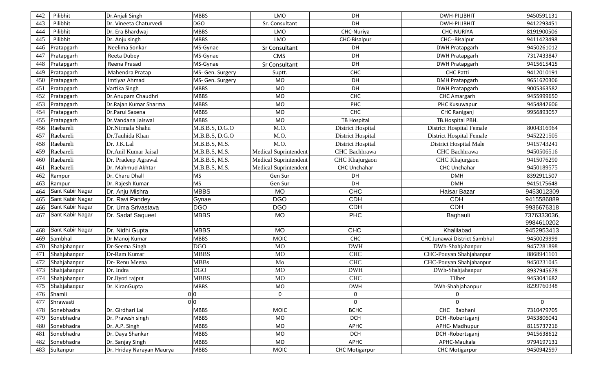| 442 | Pilibhit         | Dr.Anjali Singh           | <b>MBBS</b>      | LMO                          | DH                    | <b>DWH-PILIBHIT</b>             | 9450591131  |
|-----|------------------|---------------------------|------------------|------------------------------|-----------------------|---------------------------------|-------------|
| 443 | Pilibhit         | Dr. Vineeta Chaturvedi    | <b>DGO</b>       | Sr. Consultant               | DH                    | DWH-PILIBHIT                    | 9412293451  |
| 444 | Pilibhit         | Dr. Era Bhardwaj          | <b>MBBS</b>      | LMO                          | CHC-Nuriya            | <b>CHC-NURIYA</b>               | 8191900506  |
| 445 | Pilibhit         | Dr. Anju singh            | <b>MBBS</b>      | <b>LMO</b>                   | CHC-Bisalpur          | CHC--Bisalpur                   | 9411423498  |
| 446 | Pratapgarh       | Neelima Sonkar            | MS-Gynae         | Sr Consultant                | <b>DH</b>             | <b>DWH Pratapgarh</b>           | 9450261012  |
| 447 | Pratapgarh       | Reeta Dubey               | MS-Gynae         | <b>CMS</b>                   | DH                    | <b>DWH Pratapgarh</b>           | 7317433847  |
| 448 | Pratapgarh       | Reena Prasad              | MS-Gynae         | Sr Consultant                | DH                    | <b>DWH Pratapgarh</b>           | 9415615415  |
| 449 | Pratapgarh       | Mahendra Pratap           | MS- Gen. Surgery | Suptt.                       | CHC                   | <b>CHC Patti</b>                | 9412010191  |
| 450 | Pratapgarh       | Imtiyaz Ahmad             | MS- Gen. Surgery | <b>MO</b>                    | DH                    | <b>DMH Pratapgarh</b>           | 9651620306  |
| 451 | Pratapgarh       | Vartika Singh             | <b>MBBS</b>      | <b>MO</b>                    | DH                    | <b>DWH Pratapgarh</b>           | 9005363582  |
| 452 | Pratapgarh       | Dr.Anupam Chaudhri        | <b>MBBS</b>      | <b>MO</b>                    | CHC                   | <b>CHC Amargarh</b>             | 9455999650  |
| 453 | Pratapgarh       | Dr.Rajan Kumar Sharma     | <b>MBBS</b>      | <b>MO</b>                    | <b>PHC</b>            | PHC Kusuwapur                   | 9454842606  |
| 454 | Pratapgarh       | Dr.Parul Saxena           | <b>MBBS</b>      | <b>MO</b>                    | <b>CHC</b>            | <b>CHC Raniganj</b>             | 9956893057  |
| 455 | Pratapgarh       | Dr.Vandana Jaiswal        | <b>MBBS</b>      | <b>MO</b>                    | <b>TB Hospital</b>    | TB.Hospital PBH.                |             |
| 456 | Raebareli        | Dr.Nirmala Shahu          | M.B.B.S, D.G.O   | M.O.                         | District Hospital     | <b>District Hospital Female</b> | 8004316964  |
| 457 | Raebareli        | Dr.Tauhida Khan           | M.B.B.S, D.G.O   | M.O.                         | District Hospital     | <b>District Hospital Female</b> | 9452221505  |
| 458 | Raebareli        | Dr. J.K.Lal               | M.B.B.S, M.S.    | M.O.                         | District Hospital     | District Hospital Male          | 9415743241  |
| 459 | Raebareli        | Dr.Anil Kumar Jaisal      | M.B.B.S, M.S.    | <b>Medical Suprintendent</b> | CHC Bachhrawa         | CHC Bachhrawa                   | 9450506516  |
| 460 | Raebareli        | Dr. Pradeep Agrawal       | M.B.B.S, M.S.    | <b>Medical Suprintendent</b> | CHC Khajurgaon        | CHC Khajurgaon                  | 9415076290  |
| 461 | Raebareli        | Dr. Mahmud Akhtar         | M.B.B.S, M.S.    | <b>Medical Suprintendent</b> | CHC Unchahar          | CHC Unchahar                    | 9450189575  |
| 462 | Rampur           | Dr. Charu Dhall           | <b>MS</b>        | Gen Sur                      | DH                    | <b>DMH</b>                      | 8392911507  |
| 463 | Rampur           | Dr. Rajesh Kumar          | MS               | Gen Sur                      | DH                    | <b>DMH</b>                      | 9415175648  |
| 464 | Sant Kabir Nagar | Dr. Anju Mishra           | <b>MBBS</b>      | <b>MO</b>                    | <b>CHC</b>            | Haisar Bazar                    | 9453012309  |
| 465 | Sant Kabir Nagar | Dr. Ravi Pandey           | Gynae            | <b>DGO</b>                   | <b>CDH</b>            | <b>CDH</b>                      | 9415586889  |
| 466 | Sant Kabir Nagar | Dr. Uma Srivastava        | <b>DGO</b>       | <b>DGO</b>                   | <b>CDH</b>            | <b>CDH</b>                      | 9936676318  |
| 467 | Sant Kabir Nagar | Dr. Sadaf Saqueel         | <b>MBBS</b>      | <b>MO</b>                    | <b>PHC</b>            | Baghauli                        | 7376333036, |
|     |                  |                           |                  |                              |                       |                                 | 9984610202  |
| 468 | Sant Kabir Nagar | Dr. Nidhi Gupta           | <b>MBBS</b>      | <b>MO</b>                    | CHC                   | Khalilabad                      | 9452953413  |
| 469 | Sambhal          | Dr Manoj Kumar            | <b>MBBS</b>      | <b>MOIC</b>                  | CHC                   | CHC Junawai District Sambhal    | 9450029999  |
| 470 | Shahjahanpur     | Dr-Seema Singh            | <b>DGO</b>       | <b>MO</b>                    | <b>DWH</b>            | DWh-Shahjahanpur                | 9457281898  |
| 471 | Shahjahanpur     | Dr-Ram Kumar              | <b>MBBS</b>      | <b>MO</b>                    | <b>CHC</b>            | CHC-Pouyan Shahjahanpur         | 8868941101  |
| 472 | Shahjahanpur     | Dr-Renu Meena             | <b>MBBs</b>      | Mo                           | <b>CHC</b>            | CHC-Pouyan Shahjahanpur         | 9450231045  |
| 473 | Shahjahanpur     | Dr. Indra                 | <b>DGO</b>       | <b>MO</b>                    | <b>DWH</b>            | DWh-Shahjahanpur                | 8937945678  |
| 474 | Shahjahanpur     | Dr Jiyoti rajput          | <b>MBBS</b>      | MO                           | CHC                   | Tilher                          | 9453041682  |
| 475 | Shahjahanpur     | Dr. KiranGupta            | <b>MBBS</b>      | MO.                          | <b>DWH</b>            | DWh-Shahjahanpur                | 8299760348  |
| 476 | Shamli           |                           | 0 <sub>0</sub>   | 0                            | $\mathbf 0$           | 0                               |             |
| 477 | Shrawasti        |                           | 0 <sup>0</sup>   |                              | $\mathbf 0$           | 0                               | $\Omega$    |
| 478 | Sonebhadra       | Dr. Girdhari Lal          | <b>MBBS</b>      | <b>MOIC</b>                  | <b>BCHC</b>           | CHC Babhani                     | 7310479705  |
| 479 | Sonebhadra       | Dr. Pravesh singh         | <b>MBBS</b>      | MO                           | <b>DCH</b>            | DCH-Robertsganj                 | 9453806041  |
| 480 | Sonebhadra       | Dr. A.P. Singh            | <b>MBBS</b>      | MO                           | APHC                  | APHC-Madhupur                   | 8115737216  |
| 481 | Sonebhadra       | Dr. Daya Shankar          | <b>MBBS</b>      | MO                           | <b>DCH</b>            | DCH-Robertsganj                 | 9415638612  |
| 482 | Sonebhadra       | Dr. Sanjay Singh          | <b>MBBS</b>      | MO                           | <b>APHC</b>           | APHC-Maukala                    | 9794197131  |
| 483 | Sultanpur        | Dr. Hriday Narayan Maurya | <b>MBBS</b>      | <b>MOIC</b>                  | <b>CHC Motigarpur</b> | <b>CHC Motigarpur</b>           | 9450942597  |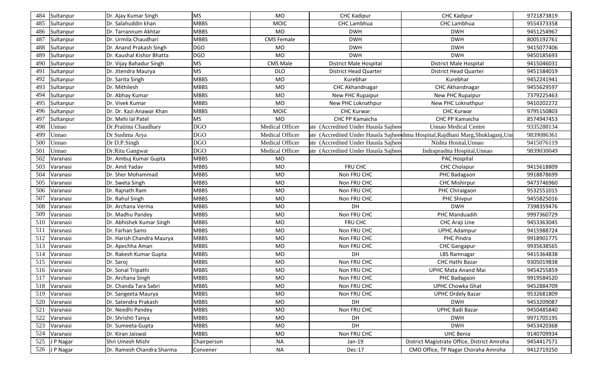| 484<br>Sultanpur | Dr. Ajay Kumar Singh      | <b>MS</b>   | <b>MO</b>         | <b>CHC Kadipur</b>                  | <b>CHC Kadipur</b>                                                               | 9721873819 |
|------------------|---------------------------|-------------|-------------------|-------------------------------------|----------------------------------------------------------------------------------|------------|
| 485<br>Sultanpur | Dr. Salahuddin khan       | <b>MBBS</b> | <b>MOIC</b>       | CHC Lambhua                         | CHC Lambhua                                                                      | 9554373358 |
| 486<br>Sultanpur | Dr. Tarrannum Akhtar      | <b>MBBS</b> | <b>MO</b>         | <b>DWH</b>                          | <b>DWH</b>                                                                       | 9451254967 |
| 487<br>Sultanpur | Dr. Urmila Chaudhari      | <b>MBBS</b> | <b>CMS Female</b> | <b>DWH</b>                          | <b>DWH</b>                                                                       | 8005192761 |
| 488<br>Sultanpur | Dr. Anand Prakash Singh   | <b>DGO</b>  | <b>MO</b>         | <b>DWH</b>                          | <b>DWH</b>                                                                       | 9415077406 |
| 489<br>Sultanpur | Dr. Kaushal Kishor Bhatta | <b>DGO</b>  | <b>MO</b>         | <b>DWH</b>                          | <b>DWH</b>                                                                       | 9450185693 |
| 490<br>Sultanpur | Dr. Vijay Bahadur Singh   | MS          | CMS Male          | <b>District Male Hospital</b>       | <b>District Male Hospital</b>                                                    | 9415046031 |
| 491<br>Sultanpur | Dr. Jitendra Maurya       | MS          | <b>DLO</b>        | <b>District Head Quarter</b>        | <b>District Head Quarter</b>                                                     | 9451584019 |
| 492<br>Sultanpur | Dr. Sarita Singh          | <b>MBBS</b> | <b>MO</b>         | Kurebhar                            | Kurebhar                                                                         | 9452241941 |
| 493<br>Sultanpur | Dr. Mithilesh             | <b>MBBS</b> | <b>MO</b>         | CHC Akhandnagar                     | CHC Akhandnagar                                                                  | 9455629597 |
| 494<br>Sultanpur | Dr. Abhay Kumar           | <b>MBBS</b> | <b>MO</b>         | New PHC Rupaipur                    | New PHC Rupaipur                                                                 | 7379225463 |
| 495<br>Sultanpur | Dr. Vivek Kumar           | <b>MBBS</b> | <b>MO</b>         | New PHC Loknathpur                  | New PHC Loknathpur                                                               | 9410202272 |
| 496<br>Sultanpur | Dr. Dr. Kazi Anawar Khan  | <b>MBBS</b> | <b>MOIC</b>       | <b>CHC Kurwar</b>                   | <b>CHC Kurwar</b>                                                                | 9795150803 |
| 497<br>Sultanpur | Dr. Mehi lal Patel        | <b>MS</b>   | <b>MO</b>         | CHC PP Kamaicha                     | CHC PP Kamaicha                                                                  | 8574947453 |
| 498<br>Unnao     | Dr.Pratima Chaudhary      | <b>DGO</b>  | Medical Officer   | ate (Accredited Under Hausla Sajhee | <b>Unnao Medical Centre</b>                                                      | 9335288134 |
| 499<br>Unnao     | Dr Sushma Arya            | <b>DGO</b>  | Medical Officer   |                                     | ate (Accredited Under Hausla Sajheeshma Hospital, Rajdhani Marg, Shuklaganj, Unr | 9839086361 |
| 500<br>Unnao     | Dr D.P.Singh              | <b>DGO</b>  | Medical Officer   | ate (Accredited Under Hausla Sajhee | Nishta Hosital, Unnao                                                            | 9415076119 |
| 501<br>Unnao     | Dr.Ritu Gangwar           | <b>DGO</b>  | Medical Officer   | ate (Accredited Under Hausla Sajhee | Indraprashta Hospital, Unnao                                                     | 9839030049 |
| 502<br>Varanasi  | Dr. Ambuj Kumar Gupta     | <b>MBBS</b> | <b>MO</b>         |                                     | PAC Hospital                                                                     |            |
| 503<br>Varanasi  | Dr. Amit Yadav            | <b>MBBS</b> | <b>MO</b>         | FRU CHC                             | <b>CHC Cholapur</b>                                                              | 9415618809 |
| 504<br>Varanasi  | Dr. Sher Mohammad         | <b>MBBS</b> | <b>MO</b>         | Non FRU CHC                         | PHC Badagaon                                                                     | 9918878699 |
| 505<br>Varanasi  | Dr. Sweta Singh           | <b>MBBS</b> | <b>MO</b>         | Non FRU CHC                         | <b>CHC Mishirpur</b>                                                             | 9473746960 |
| 506<br>Varanasi  | Dr. Rajnath Ram           | <b>MBBS</b> | <b>MO</b>         | Non FRU CHC                         | PHC Chiraigaon                                                                   | 9532551015 |
| 507<br>Varanasi  | Dr. Rahul Singh           | <b>MBBS</b> | <b>MO</b>         | Non FRU CHC                         | PHC Shivpur                                                                      | 9455825016 |
| 508<br>Varanasi  | Dr. Archana Verma         | <b>MBBS</b> | <b>MO</b>         | DH                                  | <b>DWH</b>                                                                       | 7398359476 |
| 509<br>Varanasi  | Dr. Madhu Pandey          | <b>MBBS</b> | <b>MO</b>         | Non FRU CHC                         | PHC Manduadih                                                                    | 9997360729 |
| 510<br>Varanasi  | Dr. Abhishek Kumar Singh  | <b>MBBS</b> | <b>MO</b>         | FRU CHC                             | CHC Araji Line                                                                   | 9453363045 |
| 511<br>Varanasi  | Dr. Farhan Sams           | <b>MBBS</b> | <b>MO</b>         | Non FRU CHC                         | <b>UPHC Adampur</b>                                                              | 9415988724 |
| 512<br>Varanasi  | Dr. Harish Chandra Maurya | <b>MBBS</b> | <b>MO</b>         | Non FRU CHC                         | PHC Pindra                                                                       | 9918901775 |
| 513<br>Varanasi  | Dr. Apechha Aman          | <b>MBBS</b> | <b>MO</b>         | Non FRU CHC                         | <b>CHC Gangapur</b>                                                              | 9935638565 |
| 514<br>Varanasi  | Dr. Rakesh Kumar Gupta    | MBBS        | <b>MO</b>         | <b>DH</b>                           | LBS Ramnagar                                                                     | 9415364838 |
| 515<br>Varanasi  | Dr. Saroj                 | <b>MBBS</b> | <b>MO</b>         | Non FRU CHC                         | CHC Hathi Bazar                                                                  | 9305019838 |
| 516<br>Varanasi  | Dr. Sonal Tripathi        | <b>MBBS</b> | <b>MO</b>         | Non FRU CHC                         | <b>UPHC Mata Anand Mai</b>                                                       | 9454255859 |
| 517<br>Varanasi  | Dr. Archana Singh         | <b>MBBS</b> | <b>MO</b>         | Non FRU CHC                         | PHC Badagaon                                                                     | 9919584520 |
| 518 Varanasi     | Dr. Chanda Tara Sabri     | <b>MBBS</b> | MO                | Non FRU CHC                         | <b>UPHC Chowka Ghat</b>                                                          | 9452884709 |
| 519<br>Varanasi  | Dr. Sangeeta Maurya       | <b>MBBS</b> | MO                | Non FRU CHC                         | <b>UPHC Ordely Bazar</b>                                                         | 9532681809 |
| 520<br>Varanasi  | Dr. Satendra Prakash      | <b>MBBS</b> | MO                | DH                                  | <b>DWH</b>                                                                       | 9453209087 |
| 521<br>Varanasi  | Dr. Needhi Pandey         | <b>MBBS</b> | MO                | Non FRU CHC                         | <b>UPHC Badi Bazar</b>                                                           | 9450485840 |
| 522<br>Varanasi  | Dr. Shrishti Tanya        | <b>MBBS</b> | MO                | DH                                  | <b>DWH</b>                                                                       | 9971705195 |
| 523<br>Varanasi  | Dr. Sumeeta Gupta         | <b>MBBS</b> | MO                | DH                                  | <b>DWH</b>                                                                       | 9453420368 |
| 524<br>Varanasi  | Dr. Kiran Jaiswal         | <b>MBBS</b> | MO                | Non FRU CHC                         | <b>UHC Benia</b>                                                                 | 9140709934 |
| 525<br>J P Nagar | Shri Umesh Mishr          | Chairperson | NA                | $Jan-19$                            | District Magistrate Office, District Amroha                                      | 9454417571 |
| 526 J P Nagar    | Dr. Ramesh Chandra Sharma | Convener    | <b>NA</b>         | Dec-17                              | CMO Office, TP Nagar Choraha Amroha                                              | 9412719250 |